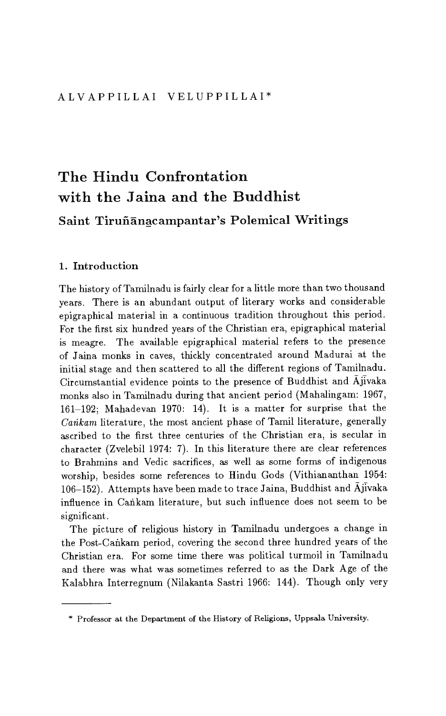# The Hindu Confrontation with the Jaina and the Buddhist Saint Tiruñãnacampantar's Polemical Writings

# 1. Introduction

The history of Tamilnadu is fairly clear for a little more than two thousand years. There is an abundant output of literary works and considerable epigraphical material in a continuous tradition throughout this period. For the first six hundred years of the Christian era, epigraphical material is meagre. The available epigraphical material refers to the presence of Jaina monks in caves, thickly concentrated around Madurai at the initial stage and then scattered to all the different regions of Tamilnadu. Circumstantial evidence points to the presence of Buddhist and Ajivaka monks also in Tamilnadu during that ancient period (Mahalingam: 1967, 161-192; Mahadevan 1970: 14). It is a matter for surprise that the *Carikam* literature, the most ancient phase of Tamil literature, generally ascribed to the first three centuries of the Christian era, is secular in character (Zvelebil 1974: 7). In this literature there are clear references to Brahmins and Vedic sacrifices, as well as some forms of indigenous worship, besides some references to Hindu Gods (Vithiananthan 1954: 106-152). Attempts have been made to trace Jaina, Buddhist and  $\bar{\text{A}}$ jivaka influence in Cankam literature, but such influence does not seem to be significant.

The picture of religious history in Tamilnadu undergoes a change in the Post-Cankam period, covering the second three hundred years of the Christian era. For some time there was political turmoil in Tamilnadu and there was what was sometimes referred to as the Dark Age of the Kalabhra Interregnum (Nilakanta Sastri 1966: 144). Though only very

<sup>\*</sup> Professor at the Department of the History of Religions, Uppsala University.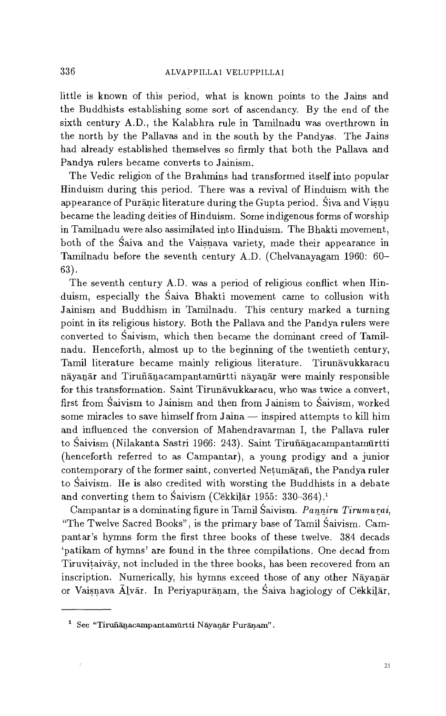little is known of this period, what is known points to the Jains and the Buddhists establishing some sort of ascendancy. By the end of the sixth century A.D., the Kalabhra rule in Tamilnadu was overthrown in the north by the Pallavas and in the south by the Pandyas. The Jains had already established themselves so firmly that both the Pallava and Pandya rulers became converts to Jainism.

The Vedic religion of the Brahmins had transformed itself into popular Hinduism during this period. There was a revival of Hinduism with the appearance of Puranic literature during the Gupta period. Siva and Visnu became the leading deities of Hinduism. Some indigenous forms of worship in Tamilnadu were also assimilated into Hinduism. The Bhakti movement, both of the Saiva and the Vaisnava variety, made their appearance in Tamilnadu before the seventh century A.D. (Chelvanayagam 1960: 60- 63).

The seventh century A.D. was a period of religious conflict when Hinduism, especially the Saiva Bhakti movement came to collusion with Jainism and Buddhism in Tamilnadu. This century marked a turning point in its religious history. Both the Pallava and the Pandya rulers were converted to Saivism, which then became the dominant creed of Tamilnadu. Henceforth, almost up to the beginning of the twentieth century, Tamil literature became mainly religious literature. Tirunavukkaracu nayanar and Tiruñanacampantamurtti nayanar were mainly responsible for this transformation. Saint Tirunāvukkaracu, who was twice a convert, first from Saivism to Jainism and then from Jainism to Saivism, worked some miracles to save himself from Jaina — inspired attempts to kill him and influenced the conversion of Mahendravarman I, the Pallava ruler to Śaivism (Nilakanta Sastri 1966: 243). Saint Tiruñānacampantamūrtti (henceforth referred to as Campantar), a young prodigy and a junior contemporary of the former saint, converted Netumaran, the Pandya ruler to Saivism. He is also credited with worsting the Buddhists in a debate and converting them to Śaivism (Cēkkilār 1955: 330-364).<sup>1</sup>

Campantar is a dominating figure in Tamil Saivism. *Panniru Tirumurai,*  "The Twelve Sacred Books", is the primary base of Tamil Saivism. Campantar's hymns form the first three books of these twelve. 384 decads `patikam of hymns' are found in the three compilations. Öne decad from Tiruvitaivay, not included in the three books, has been recovered from an inscription. Numerically, his hymns exceed those of any other Nāyanār or Vaisnava Alvar. In Periyapuranam, the Saiva hagiology of Cekkilar,

 $1$  See "Tiruñānacampantamūrtti Nāyanār Purāņam".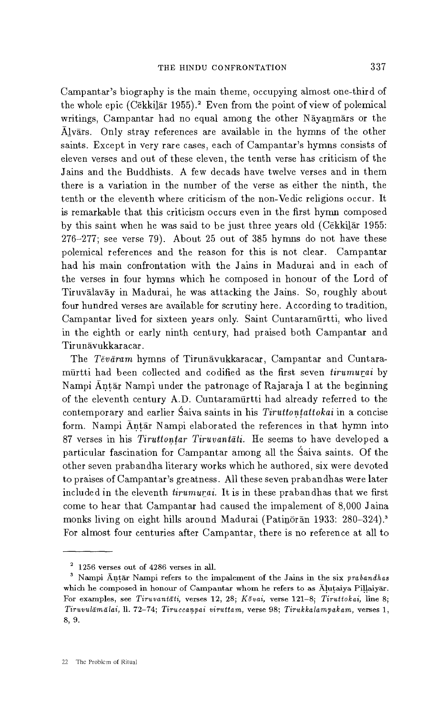Campantar's biography is the main theme, occupying almost one-third of the whole epic (Cēkkilār 1955).<sup>2</sup> Even from the point of view of polemical writings, Campantar had no equal among the other Nāyanmārs or the Alvars. Only stray references are available in the hymns of the other saints. Except in very rare cases, each of Campantar's hymns consists of eleven verses and out of these eleven, the tenth verse has criticism of the Jains and the Buddhists. A few decads have twelve verses and in them there is a variation in the number of the verse as either the ninth, the tenth or the eleventh where criticism of the non-Vedic religions occur. It is remarkable that this criticism occurs even in the first hymn composed by this saint when he was said to be just three years old (Cekkilar 1955: 276-277; see verse 79). About 25 out of 385 hymns do not have these polemical references and the reason for this is not clear. Campantar had his main confrontation with the Jains in Madurai and in each of the verses in four hymns which he composed in honour of the Lord of Tiruvalavay in Madurai, he was attacking the Jains. So, roughly about four hundred verses are available for scrutiny here. According to tradition, Campantar lived for sixteen years only. Saint Cuntaramurtti, who lived in the eighth or early ninth century, had praised both Campantar and Tirunāvukkaracar.

The Tevaram hymns of Tirunavukkaracar, Campantar and Cuntaramurtti had been collected and codified as the first seven *tirumurai* by Nampi Antar Nampi under the patronage of Rajaraja I at the beginning of the eleventh century A.D. Cuntaramurtti had already referred to the contemporary and earlier Saiva saints in his *Tiruttontattokai* in a concise form. Nampi Antār Nampi elaborated the references in that hymn into 87 verses in his *Tiruttontar Tiruvantati.* He seems to have developed a particular fascination for Campantar among all the Saiva saints. Öf the other seven prabandha literary works which he authored, six were devoted to praises of Campantar's greatness. All these seven prabandhas were later included in the eleventh *tirurnurai.* It is in these prabandhas that we first come to hear that Campantar had caused the impalement of 8,000 Jaina monks living on eight hills around Madurai (Patinoran 1933: 280-324).<sup>3</sup> For almost four centuries after Campantar, there is no reference at all to

 $2\,$  1256 verses out of 4286 verses in all.

<sup>3</sup>Nampi Antar Nampi refers to the impalement of the Jains in the six *prabandhas*  which he composed in honour of Campantar whom he refers to as Alutaiya Pillaiyar. For examples, see *Tiruvantati,* verses 12, 28; *Kovai,* verse 121-8; *Tiruttokai,* line 8; *Tiruvulamalai, 11.* 72-74; *Tiru. ccanpai viruttam,* verse 98; *Tirukkalampak am,* verses 1, 8, 9.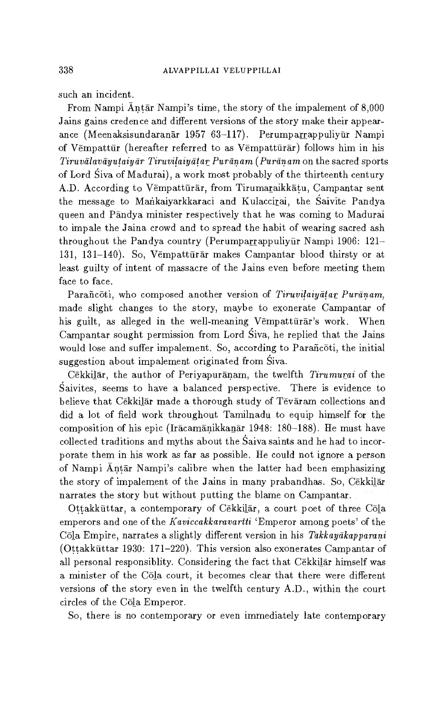such an incident.

From Nampi Antar Nampi's time, the story of the impalement of 8,000 Jains gains credence and different versions of the story make their appearance (Meenaksisundaranār 1957 63-117). Perumparrappuliyūr Nampi of Vempattur (hereafter referred to as Vempatturar) follows him in his *Tiruvālavāyutaiyār Tiruvilaiyātar Purānam (Purānam* on the sacred sports of Lord Siva of Madurai), a work most probably of the thirteenth century A.D. According to Vempattürar, from Tirumaraikkatu, Campantar sent the message to Mankaiyarkkaraci and Kulaccirai, the Saivite Pandya queen and Pandya minister respectively that he was coming to Madurai to impale the Jaina crowd and to spread the habit of wearing sacred ash throughout the Pandya country (Perumparrappuliyur Nampi 1906: 121-131, 131-140). So, Vempatturar makes Campantar blood thirsty or at least guilty of intent of massacre of the Jains even before meeting them face to face.

Parañcoti, who composed another version of *Tiruvilaiyatar Puranam*, made slight changes to the story, maybe to exonerate Campantar of his guilt, as alleged in the well-meaning Vempatturar's work. When Campantar sought permission from Lord Siva, he replied that the Jains would lose and suffer impalement. So, according to Parañcoti, the initial suggestion about impalement originated from Siva.

Cekkilar, the author of Periyapuranam, the twelfth *Tirumurai* of the Saivites, seems to have a balanced perspective. There is evidence to believe that Cēkkilār made a thorough study of Tēvāram collections and did a lot of field work throughout Tamilnadu to equip himself for the composition of his epic (Iracamanikkanar 1948: 180-188). He must have collected traditions and myths about the Saiva saints and he had to incorporate them in his work as far as possible. He could not ignore a person of Nampi Antar Nampi's calibre when the latter had been emphasizing the story of impalement of the Jains in many prabandhas. So, Cekkilar narrates the story but without putting the blame on Campantar.

Öttakkattar, a contemporary of Cekkilar, a court poet of three Cola emperors and one of the *Kaviccakkaravartti 'Emperor* among poets' of the Cola Empire, narrates a slightly different version in his *Takkaydkapparani*  (Öttakkuttar 1930: 171-220). This version also exonerates Campantar of all personal responsiblity. Considering the fact that Cekkilar himself was a minister of the Cola court, it becomes clear that there were different versions of the story even in the twelfth century A.D., within the court circles of the Cola Emperor.

So, there is no contemporary or even immediately late contemporary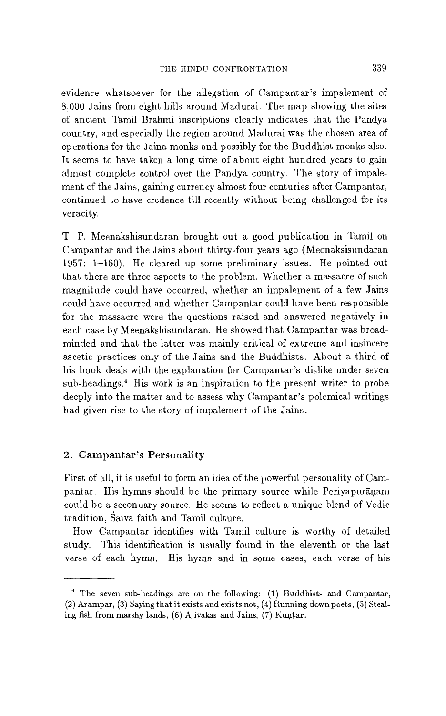evidence whatsoever for the allegation of Campantar's impalement of 8,000 Jains from eight hills around Madurai. The map showing the sites of ancient Tamil Brahmi inscriptions clearly indicates that the Pandya country, and especially the region around Madurai was the chosen area of operations for the Jaina monks and possibly for the Buddhist monks also. It seems to have taken a long time of about eight hundred years to gain almost complete control over the Pandya country. The story of impalement of the Jains, gaining currency almost four centuries after Campantar, continued to have credence till recently without being challenged for its veracity.

T. P. Meenakshisundaran brought out a good publication in Tamil on Campantar and the Jains about thirty-four years ago (Meenaksisundaran 1957: 1-160). He cleared up some preliminary issues. He pointed out that there are three aspects to the problem. Whether a massacre of such magnitude could have occurred, whether an impalement of a few Jains could have occurred and whether Campantar could have been responsible for the massacre were the questions raised and answered negatively in each case by Meenakshisundaran. He showed that Campantar was broadminded and that the latter was mainly critical of extreme and insincere ascetic practices only of the Jains and the Buddhists. About a third of his book deals with the explanation for Campantar's dislike under seven sub-headings.' His work is an inspiration to the present writer to probe deeply into the matter and to assess why Campantar's polemical writings had given rise to the story of impalement of the Jains.

## 2. Campantar's Personality

First of all, it is useful to form an idea of the powerful personality of Campantar. His hymns should be the primary source while Periyapuranam could be a secondary source. He seems to reflect a unique blend of Vedic tradition, Saiva faith and Tamil culture.

How Campantar identifies with Tamil culture is worthy of detailed study. This identification is usually found in the eleventh or the last verse of each hymn. His hymn and in some cases, each verse of his

<sup>&</sup>lt;sup>4</sup> The seven sub-headings are on the following: (1) Buddhists and Campantar, (2) Arampar, (3) Saying that it exists and exists not, (4) Running down poets, (5) Stealing fish from marshy lands, (6) Ajivakas and Jains, (7) Kuntar.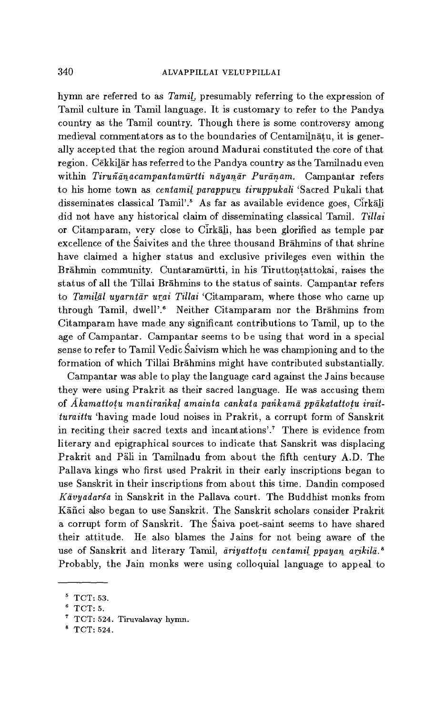hymn are referred to as *Tamil,* presumably referring to the expression of Tamil culture in Tamil language. It is customary to refer to the Pandya country as the Tamil country. Though there is some controversy among medieval commentators as to the boundaries of Centamilnatu, it is generally accepted that the region around Madurai constituted the core of that region. Cēkkilār has referred to the Pandya country as the Tamilnadu even within *Tirufidnacampantamdriti* nayanar Puranam. Campantar refers to his home town as *centamil parappuru tiruppukali* 'Sacred Pukali that disseminates classical Tamil'.<sup>5</sup> As far as available evidence goes, Cirkali did not have any historical claim of disseminating classical Tamil. *Tillai*  or Citamparam, very close to Cirkali, has been glorified as temple par excellence of the Saivites and the three thousand Brahmins of that shrine have claimed a higher status and exclusive privileges even within the Brahmin community. Cuntaramurtti, in his Tiruttontattokai, raises the status of all the Tillai Brahmins to the status of saints. Campantar refers to *Tamilal* uyarntar *urai Tillai* `Citamparam, where those who came up through Tamil, dwell'.<sup>6</sup> Neither Citamparam nor the Brahmins from Citamparam have made any significant contributions to Tamil, up to the age of Campantar. Campantar seems to be using that word in a special sense to refer to Tamil Vedic Saivism which he was championing and to the formation of which Tillai Brahmins might have contributed substantially.

Campantar was able to play the language card against the Jains because they were using Prakrit as their sacred language. He was accusing them of *Akamattotu mantirarikal amainta cankata parikama ppakatattotu iraitturaittu* 'having made loud noises in Prakrit, a corrupt form of Sanskrit in reciting their sacred texts and incantations'.' There is evidence from literary and epigraphical sources to indicate that Sanskrit was displacing Prakrit and Päli in Tamilnadu from about the fifth century A.D. The Pallava kings who first used Prakrit in their early inscriptions began to use Sanskrit in their inscriptions from about this time. Dandin composed *Kavyadarsa* in Sanskrit in the Pallava court. The Buddhist monks from Kañci also began to use Sanskrit. The Sanskrit scholars consider Prakrit a corrupt form of Sanskrit. The Saiva poet-saint seems to have shared their attitude. He also blames the Jains for not being aware of the use of Sanskrit and literary Tamil, *ariyattotu centamil ppayan arikila. <sup>8</sup>* Probably, the Jain monks were using colloquial language to appeal to

 $5$  TCT: 53.

 $^6$  TCT: 5.

 $T$  TCT: 524. Tiruvalavay hymn.

<sup>8</sup> TCT: 524.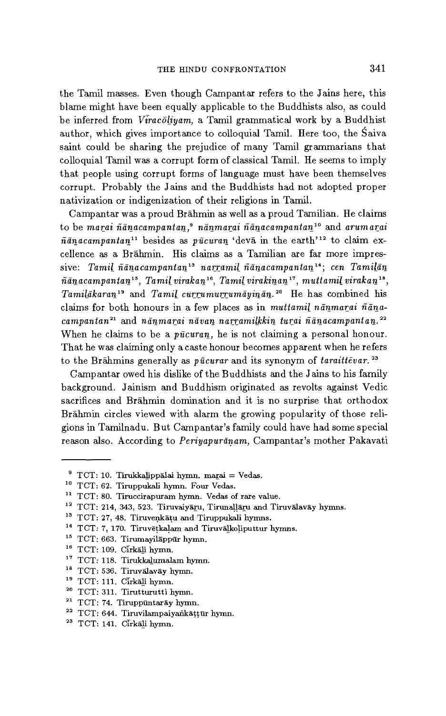the Tamil masses. Even though Campantar refers to the Jains here, this blame might have been equally applicable to the Buddhists also, as could be inferred from *Vfracoliyam,* a Tamil grammatical work by a Buddhist author, which gives importance to colloquial Tamil. Here too, the Saiva saint could be sharing the prejudice of many Tamil grammarians that colloquial Tamil was a corrupt form of classical Tamil. He seems to imply that people using corrupt forms of language must have been themselves corrupt. Probably the Jains and the Buddhists had not adopted proper nativization or indigenization of their religions in Tamil.

Campantar was a proud Brahmin as well as a proud Tamilian. He claims to be *marai ñanacampantan,9* nanmarai *ñanacampantan"* and *arumarai*   $\tilde{n}$ *ānacampantan*<sup>11</sup> besides as *pūcuran* 'devā in the earth'<sup>12</sup> to claim excellence as a Brahmin. His claims as a Tamilian are far more impressive: *Tamil ñanacampantan" narramil ñanacampantan"; cen Tamilan ñanacampantan", Tamil virakan", Tamil virakinan17, muttamil virakan",*  Tamilakaran<sup>19</sup> and *Tamil currumurrumayinan.*<sup>20</sup> He has combined his claims for both honours in a few places as in *muttamil nānmarai* ñāna*ñanacampantan2'* and nanmarai navan *narramilkkin turai ñanacampantan."*  When he claims to be a  $p\bar{u}curan$ , he is not claiming a personal honour. That he was claiming only a caste honour becomes apparent when he refers to the Brāhmins generally as *pūcurar* and its synonym of *taraittēvar*.<sup>23</sup>

Campantar owed his dislike of the Buddhists and the Jains to his family background. Jainism and Buddhism originated as revolts against Vedic sacrifices and Brahmin domination and it is no surprise that orthodox Brahmin circles viewed with alarm the growing popularity of those religions in Tamilnadu. But Campantar's family could have had some special reason also. According to *Periyapuranam,* Campantar's mother Pakavati

 $12$  TCT: 214, 343, 523. Tiruvaiyāru, Tirunaļļāru and Tiruvālavāy hymns.

- <sup>16</sup> TCT: 109. Cirkali hymn.
- <sup>17</sup> TCT: 118. Tirukkalumalam hymn.
- <sup>18</sup> TCT: 536. Tiruvalavay hymn.
- <sup>19</sup> TCT: 111. Cirkali hymn.
- $20$  TCT: 311. Tirutturutti hymn.
- $21$  TCT: 74. Tiruppuntaray hymn.
- $22$  TCT: 644. Tiruvilampaiyankāṭṭūr hymn.
- <sup>23</sup> TCT: 141. Cirkali hymn.

 $9$  TCT: 10. Tirukkalippālai hymn. marai = Vedas.

<sup>1°</sup> TCT: 62. Tiruppukali hymn. Four Vedas.

<sup>11</sup> TCT: 80. Tiruccirapuram hymn. Vedas of rare value.

<sup>&</sup>lt;sup>13</sup> TCT: 27, 48. Tiruvenkatu and Tiruppukali hymns.

<sup>&</sup>lt;sup>14</sup> TCT: 7, 170. Tiruvētkalam and Tiruvālkoliputtur hymns.

<sup>&</sup>lt;sup>15</sup> TCT: 663. Tirumayilappur hymn.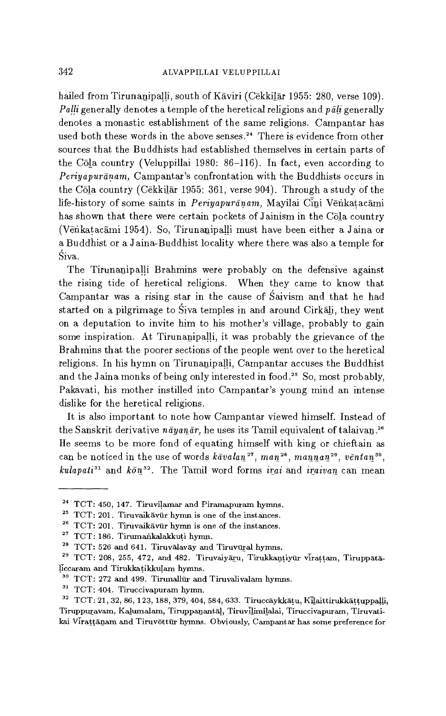hailed from Tirunanipalli, south of Kāviri (Cēkkilār 1955: 280, verse 109). *Palli* generally denotes a temple of the heretical religions and *pali* generally denotes a monastic establishment of the same religions. Campantar has used both these words in the above senses.<sup>24</sup> There is evidence from other sources that the Buddhists had established themselves in certain parts of the Cola country (Veluppillai 1980: 86-116). In fact, even according to *Periyapuranam,* Campantar's confrontation with the Buddhists occurs in the Cola country (Cekkilar 1955: 361, verse 904). Through a study of the life-history of some saints in *Periyapuranam,* Mayilai Cini Venkatacami has shown that there were certain pockets of Jainism in the Cola country (Venkatacami 1954). So, Tirunanipalli must have been either a Jaina or a Buddhist or a Jaina-Buddhist locality where there was also a temple for Siva.

The Tirunanipalli Brahmins were probably on the defensive against the rising tide of heretical religions. When they came to know that Campantar was a rising star in the cause of Saivism and that he had started on a pilgrimage to Siva temples in and around Cirkali, they went on a deputation to invite him to his mother's village, probably to gain some inspiration. At Tirunanipalli, it was probably the grievance of the Brahmins that the poorer sections of the people went over to the heretical religions. In his hymn on Tirunanipalli, Campantar accuses the Buddhist and the Jaina monks of being only interested in food.<sup>25</sup> So, most probably, Pakavati, his mother instilled into Campantar's young mind an intense dislike for the heretical religions.

It is also important to note how Campantar viewed himself. Instead of the Sanskrit derivative nāyanār, he uses its Tamil equivalent of talaivan.<sup>26</sup> He seems to be more fond of equating himself with king or chieftain as can be noticed in the use of words  $k\bar{a}valan^{27}$ ,  $man^{28}$ ,  $mannan^{29}$ ,  $v\bar{e}ntan^{30}$ ,  $kulapati<sup>31</sup>$  and  $k\bar{o}n<sup>32</sup>$ . The Tamil word forms *irai* and *iraivan* can mean

 $24$  TCT: 450, 147. Tiruvilamar and Piramapuram hymns.

 $25$  TCT: 201. Tiruvaik $\bar{a}$ vūr hymn is one of the instances.

 $26$  TCT: 201. Tiruvaikāvūr hymn is one of the instances.

 $27$  TCT: 186. Tirumankalakkuti hymn.

 $28$  TCT: 526 and 641. Tiruvalavay and Tiruvural hymns.

<sup>&</sup>lt;sup>29</sup> TCT: 208, 255, 472, and 482. Tiruvaiyaru, Tirukkantiyur virattam, Tiruppataliccaram and Tirukkatikkulam hymns.

 $30$  TCT: 272 and 499. Tirunallur and Tiruvalivalam hymns.

<sup>&</sup>lt;sup>31</sup> TCT: 404. Tiruccivapuram hymn.

<sup>32</sup>TCT: 21, 32, 86, 123, 188, 379, 404, 584, 633. Tiruccayklatu, Kilaittirukkattuppalli, Tiruppuravam, Kalumalam, Tiruppanantal, Tiruvilimilalai, Tiruccivapuram, Tiruvatikai Virattānam and Tiruvöttūr hymns. Obviously, Campantar has some preference for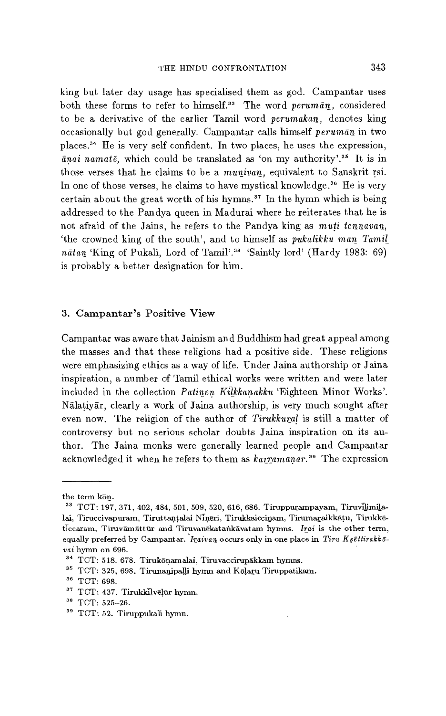king but later day usage has specialised them as god. Campantar uses both these forms to refer to himself.<sup>33</sup> The word *peruman*, considered to be a derivative of the earlier Tamil word *perumakan,* denotes king occasionally but god generally. Campantar calls himself *peruman* in two places." He is very self confident. In two places, he uses the expression,  $\bar{a}$ *nai namat* $\bar{e}$ , which could be translated as 'on my authority'.<sup>35</sup> It is in those verses that he claims to be a munivan, equivalent to Sanskrit rsi. In one of those verses, he claims to have mystical knowledge.<sup>36</sup> He is very certain about the great worth of his hymns.<sup>37</sup> In the hymn which is being addressed to the Pandya queen in Madurai where he reiterates that he is not afraid of the Jains, he refers to the Pandya king as *muti tennavan,*  `the crowned king of the south', and to himself as *pukalikku man Tamil natan* 'King of Pukali, Lord of Tamil'.38 'Saintly lord' (Hardy 1983: 69) is probably a better designation for him.

# 3. Campantar's Positive View

Campantar was aware that Jainism and Buddhism had great appeal among the masses and that these religions had a positive side. These religions were emphasizing ethics as a way of life. Under Jaina authorship or Jaina inspiration, a number of Tamil ethical works were written and were later included in the collection *Patinen Kilkkanakku* 'Eighteen Minor Works'. Nalatiyar, clearly a work of Jaina authorship, is very much sought after even now. The religion of the author of *Tirukkural is* still a matter of controversy but no serious scholar doubts Jaina inspiration on its author. The Jaina monks were generally learned people and Campantar acknowledged it when he refers to them as *karramanar.39* The expression

the term kön.

<sup>&</sup>lt;sup>33</sup> TCT: 197, 371, 402, 484, 501, 509, 520, 616, 686. Tiruppurampayam, Tiruvilimilalai, Tiruccivapuram, Tiruttantalai Ninēri, Tirukkaiccinam, Tirumaraikkātu, Tirukkēticcaram, Tiruvāmāttūr and Tiruvanēkatankāvatam hymns. Irai is the other term, equally preferred by Campantar. *Iraivan* occurs only in one place in *Tiru Ksettirakkovai* hymn on 696.

<sup>&</sup>lt;sup>34</sup> TCT: 518, 678. Tirukonamalai, Tiruvaccirupakkam hymns.

<sup>&</sup>lt;sup>35</sup> TCT: 325, 698. Tirunanipalli hymn and Kōlaru Tiruppatikam.

<sup>&</sup>lt;sup>36</sup> TCT: 698.

 $37$  TCT: 437. Tirukkilvēļūr hymn.

<sup>&</sup>lt;sup>38</sup> TCT: 525-26.

<sup>39</sup> TCT: 52. Tiruppukali hymn.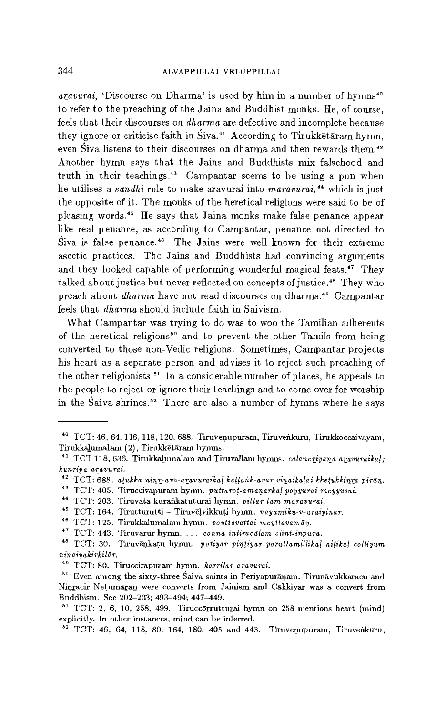*aravurai*, 'Discourse on Dharma' is used by him in a number of hymns<sup>40</sup> to refer to the preaching of the Jaina and Buddhist monks. He, of course, feels that their discourses on *dharma* are defective and incomplete because they ignore or criticise faith in Siva.<sup>41</sup> According to Tirukketaram hymn, even Siva listens to their discourses on dharma and then rewards them.<sup>42</sup> Another hymn says that the Jains and Buddhists mix falsehood and truth in their teachings.<sup>43</sup> Campantar seems to be using a pun when he utilises a *sandhi* rule to make aravurai into *maravurai*,<sup>44</sup> which is just the opposite of it. The monks of the heretical religions were said to be of pleasing words.<sup>45</sup> He says that Jaina monks make false penance appear like real penance, as according to Campantar, penance not directed to Siva is false penance.<sup>46</sup> The Jains were well known for their extreme ascetic practices. The Jains and Buddhists had convincing arguments and they looked capable of performing wonderful magical feats." They talked about justice but never reflected on concepts of justice.<sup>48</sup> They who preach about *dharma* have not read discourses on dharma." Campantar feels that *dharma* should include faith in Saivism.

What Campantar was trying to do was to woo the Tamilian adherents of the heretical religions<sup>50</sup> and to prevent the other Tamils from being converted to those non-Vedic religions. Sometimes, Campantar projects his heart as a separate person and advises it to reject such preaching of the other religionists.<sup>51</sup> In a considerable number of places, he appeals to the people to reject or ignore their teachings and to come over for worship in the Saiva shrines.<sup>52</sup> There are also a number of hymns where he says

<sup>40</sup> TCT: 46, 64, 116, 118, 120, 688. Tiruvenupuram, Tiruvenkuru, Tirukkoccaivayam, Tirukkalumalam (2), Tirukketaram hymns.

<sup>41</sup> TCT 118, 636. Tirukkalumalam and Tiruvallam hymns. *calaneriyana aravuraikal; kurlriy a aravurai.* 

<sup>42</sup>TCT: 688. *atukka ninr-avv-aravuraikal kattarik-avar vinaikatai kketukkinra piran.* 

<sup>&</sup>lt;sup>43</sup> TCT: 405. Tiruccivapuram hymn. *puttarot-amanarkal poyyurai meyyurai*.

<sup>44</sup>TCT: 203. Tiruvata kurankatuturai hymn. *pittar tam marawurai.* 

<sup>45</sup>TCT: 164. Tirutturutti — TiruvElvildruti hymn. *nayamiku-v-uraiyinar.* 

<sup>46</sup>TCT: 125. Tirukkalumalam hymn. *poyttavaitai meyttavamdy.* 

<sup>&</sup>lt;sup>47</sup> TCT: 443. Tiruvārūr hymn. ... conna intiracālam olint-inpura.

<sup>&</sup>lt;sup>48</sup> TCT: 30. Tiruvenkatu hymn. *pōtiyar pintiyar poruttamillikal nitikal colliyum ninaiyakirkilar.* 

<sup>46</sup>TCT: 80. Tiruccirapuram hymn. *karrilar* aravurai.

<sup>&</sup>lt;sup>50</sup> Even among the sixty-three Saiva saints in Periyapuranam, Tirunavukkaracu and Ninracir Netumaran were converts from Jainism and Cakkiyar was a convert from Buddhism. See 202-203; 493-494; 447-449.

 $51$  TCT: 2, 6, 10, 258, 499. Tiruccorrutturai hymn on 258 mentions heart (mind) explicitly. In other instances, mind can be inferred.

 $52$  TCT: 46, 64, 118, 80, 164, 180, 405 and 443. Tiruvenupuram, Tiruvenkuru,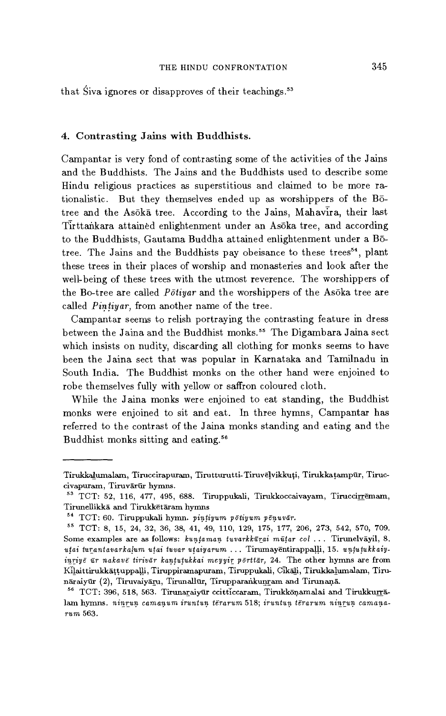that Siva ignores or disapproves of their teachings.<sup>53</sup>

# 4. Contrasting Jains with Buddhists.

Campantar is very fond of contrasting some of the activities of the Jains and the Buddhists. The Jains and the Buddhists used to describe some Hindu religious practices as superstitious and claimed to be more rationalistic. But they themselves ended up as worshippers of the Botree and the Asoka tree. According to the Jains, Mahavira, their last Tirttankara attained enlightenment under an Asoka tree, and according to the Buddhists, Gautama Buddha attained enlightenment under a Botree. The Jains and the Buddhists pay obeisance to these trees<sup>54</sup>, plant these trees in their places of worship and monasteries and look after the well-being of these trees with the utmost reverence. The worshippers of the Bo-tree are called *Potiyar* and the worshippers of the Asoka tree are called *Pintiyar,* from another name of the tree.

Campantar seems to relish portraying the contrasting feature in dress between the Jaina and the Buddhist monks." The Digambara Jaina sect which insists on nudity, discarding all clothing for monks seems to have been the Jaina sect that was popular in Karnataka and Tamilnadu in South India. The Buddhist monks on the other hand were enjoined to robe themselves fully with yellow or saffron coloured cloth.

While the Jaina monks were enjoined to eat standing, the Buddhist monks were enjoined to sit and eat. In three hymns, Campantar has referred to the contrast of the Jaina monks standing and eating and the Buddhist monks sitting and eating.<sup>56</sup>

Tirukkalumalam, Tiruccirapuram, Tirutturutti-Tiruvelvikkuti, Tirukkatampur, Tiruccivapuram, Tiruvārūr hymns.

<sup>53</sup>TCT: 52, 116, 477, 495, 688. Tiruppukali, Tirukkoccaivayam, Tiruccirremam, Tirunellikka and Tirukketaram hymns

<sup>54</sup>TCT: 60. Tiruppukali hymn. pintiyum potiyum *penuvar.* 

<sup>65</sup>TCT: 8, 15, 24, 32, 36, 38, 41, 49, 110, 129, 175, 177, 206, 273, 542, 570, 709. Some examples are as follows:  $\textit{kuntaman tuvarkkūrai mūtar col}$ ... Tirunelvāyil, 8. uțai turantavarkalum uțai tuvar uțaiyarum ... Tirumayentirappalli, 15. unțuțukkaiy*inriye ur nakave tirivar kantutukkai meyyir porttar,* 24. The other hymns are from Kilaittirukkattuppalli, Tiruppiramapuram, Tiruppukali, Cikali, Tirukkalumalam, nāraiyūr (2), Tiruvaiyāru, Tirunallūr, Tirupparankunram and Tirunaņā.

<sup>&</sup>lt;sup>56</sup> TCT: 396, 518, 563. Tirunaraiyūr ccitticcaram, Tirukkōnamalai and Tirukkurrālam hymns. *ninrun camanum iruntun terarum* 518; *iruntun terarum ninrun camana*rum 563.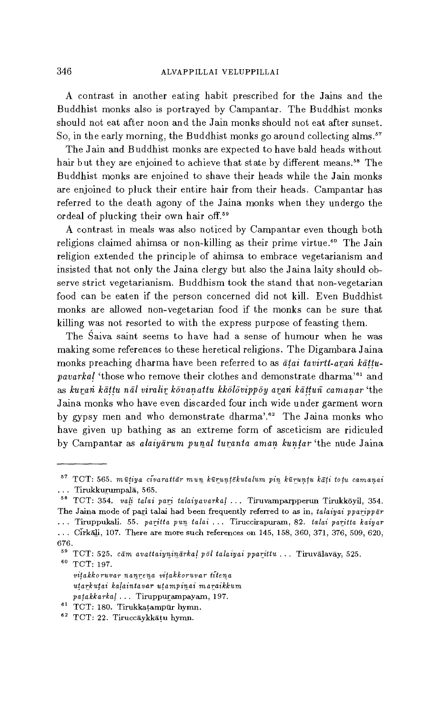A contrast in another eating habit prescribed for the Jains and the Buddhist monks also is portrayed by Campantar. The Buddhist monks should not eat after noon and the Jain monks should not eat after sunset. So, in the early morning, the Buddhist monks go around collecting alms.<sup>57</sup>

The Jain and Buddhist monks are expected to have bald heads without hair but they are enjoined to achieve that state by different means.<sup>58</sup> The Buddhist monks are enjoined to shave their heads while the Jain monks are enjoined to pluck their entire hair from their heads. Campantar has referred to the death agony of the Jaina monks when they undergo the ordeal of plucking their own hair off.<sup>59</sup>

A contrast in meals was also noticed by Campantar even though both religions claimed ahimsa or non-killing as their prime virtue.<sup>60</sup> The Jain religion extended the principle of ahimsa to embrace vegetarianism and insisted that not only the Jaina clergy but also the Jaina laity should observe strict vegetarianism. Buddhism took the stand that non-vegetarian food can be eaten if the person concerned did not kill. Even Buddhist monks are allowed non-vegetarian food if the monks can be sure that killing was not resorted to with the express purpose of feasting them.

The Saiva saint seems to have had a sense of humour when he was making some references to these heretical religions. The Digambara Jaina monks preaching dharma have been referred to as *atai tavirtt-arari pavarkal* 'those who remove their clothes and demonstrate dharma'<sup>61</sup> and *as kurari kattu nal viralir kovanattu kkolovippoy arari kattuñ camanar* 'the Jaina monks who have even discarded four inch wide under garment worn by gypsy men and who demonstrate dharma'.<sup>62</sup> The Jaina monks who have given up bathing as an extreme form of asceticism are ridiculed by Campantar as *alaiyarum punal turanta aman kuntar* 'the nude Jaina

<sup>57</sup>TCT: 565. *mutiya civarattar mun kuruntekutalum pin kuruntu kati totu camanai*  ... Tirukkurumpalā, 565.

<sup>58</sup>TCT: 354. *vali talai pari talaiyavarkal .* Tiruvamparpperun Tirukkoyil, 354. The Jaina mode of pari talai had been frequently referred to as in, *talaiyai pparippar .* Tiruppukali. 55. *paritta pun talai .* Tiruccirapuram, 82. *talai paritta kaiyar . Cirkali*, 107. There are more such references on 145, 158, 360, 371, 376, 509, 620,

<sup>676.</sup> 

<sup>59</sup>TCT: 525. *cam avattaiyninarkal pol talaiyai pparittu .* Tiruvalavay, 525. 60 TCT: 197.

*vitakkoruvar nanrena vitakkoruvar ti-tena utarkutai kalaintavar utampinai maraikkum patakkarkal .* Tiruppurampayam, 197.

 $61$  TCT: 180. Tirukkatampur hymn.

<sup>62</sup> TCT: 22. Tiruccāykkāțu hymn.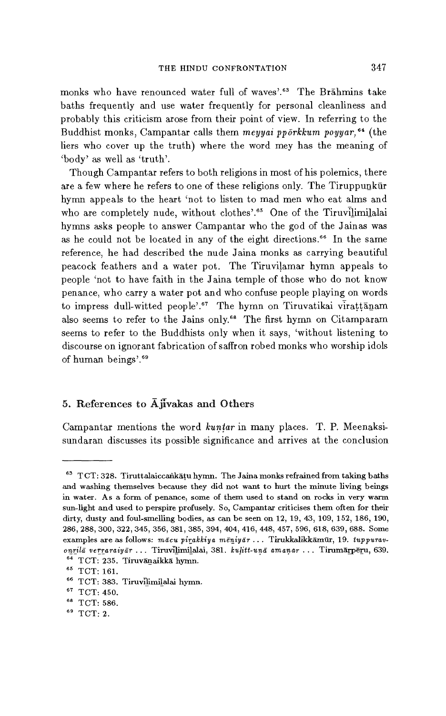monks who have renounced water full of waves'.<sup>63</sup> The Brahmins take baths frequently and use water frequently for personal cleanliness and probably this criticism arose from their point of view. In referring to the Buddhist monks, Campantar calls them *meyyai pporkkum poyyar*,<sup>64</sup> (the liers who cover up the truth) where the word mey has the meaning of `body' as well as 'truth'.

Though Campantar refers to both religions in most of his polemics, there are a few where he refers to one of these religions only. The Tiruppunkur hymn appeals to the heart 'not to listen to mad men who eat alms and who are completely nude, without clothes'.<sup>65</sup> One of the Tiruvilimilalai hymns asks people to answer Campantar who the god of the Jainas was as he could not be located in any of the eight directions.<sup>66</sup> In the same reference, he had described the nude Jaina monks as carrying beautiful peacock feathers and a water pot. The Tiruvilamar hymn appeals to people 'not to have faith in the Jaina temple of those who do not know penance, who carry a water pot and who confuse people playing on words to impress dull-witted people'.<sup>67</sup> The hymn on Tiruvatikai virațțănam also seems to refer to the Jains only.<sup>68</sup> The first hymn on Citamparam seems to refer to the Buddhists only when it says, 'without listening to discourse on ignorant fabrication of saffron robed monks who worship idols of human beings'.<sup>69</sup>

# 5. References to  $\overline{A}$  jivakas and Others

Campantar mentions the word *kuntar* in many places. T. P. Meenaksisundaran discusses its possible significance and arrives at the conclusion

<sup>&</sup>lt;sup>63</sup> TCT: 328. Tiruttalaiccankatu hymn. The Jaina monks refrained from taking baths and washing themselves because they did not want to hurt the minute living beings in water. As a form of penance, some of them used to stand on rocks in very warm sun-light and used to perspire profusely. So, Campantar criticises them often for their dirty, dusty and foul-smelling bodies, as can be seen on 12, 19, 43, 109, 152, 186, 190, 286, 288, 300, 322, 345, 356, 381, 385, 394, 404, 416, 448, 457, 596, 618, 639, 688. Some examples are as follows: macu *pirakkiya* meniyar . Tirukkalikkamur, 19. *tuppuravonrila* verraraiyar Tiravilimilalai, 381. *kulitt-una amanar* Tirumarperu, 639, <sup>64</sup> TCT: 235. Tiruvānaikkā hymn.

<sup>&</sup>lt;sup>65</sup> TCT: 161.

<sup>&</sup>lt;sup>66</sup> TCT: 383. Tiruvilimilalai hymn.

<sup>&</sup>lt;sup>67</sup> TCT: 450.

<sup>&</sup>lt;sup>68</sup> TCT: 586.

<sup>69</sup> TCT: 2.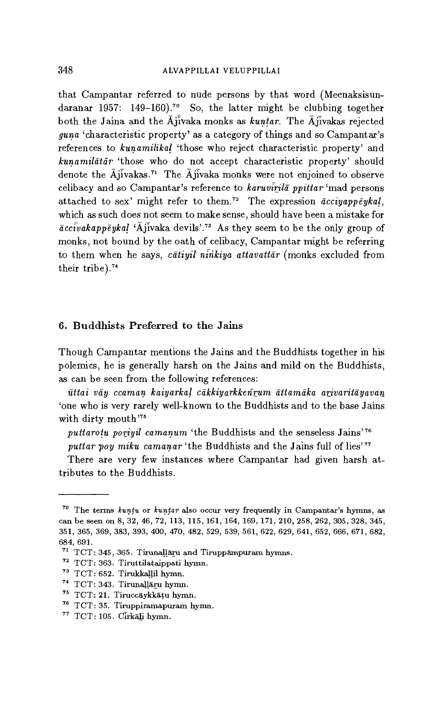that Campantar referred to nude persons by that word (Meenaksisundaranar 1957: 149-160).<sup>70</sup> So, the latter might be clubbing together both the Jaina and the  $\bar{A}$  iivaka monks as *kuntar*. The  $\bar{A}$  iivakas rejected *guna* 'characteristic property' as a category of things and so Campantar's references to *kunamilikal* 'those who reject characteristic property' and *kunamilatar* 'those who do not accept characteristic property' should denote the  $\overline{A}$ jivakas.<sup>71</sup> The  $\overline{A}$ jivaka monks were not enjoined to observe celibacy and so Campantar's reference to karuvirila *ppittar* 'mad persons attached to sex' might refer to them." The expression *acciyappeykal,*  which as such does not seem to make sense, should have been a mistake for *accivakappeykal* `Ajivaka devils'.73 As they seem to be the only group of monks, not bound by the oath of celibacy, Campantar might be referring to them when he says, *catiyil ninkiya attavattar* (monks excluded from their tribe).<sup>74</sup>

# 6. Buddhists Preferred to the Jains

Though Campantar mentions the Jains and the Buddhists together in his polemics, he is generally harsh on the Jains and mild on the Buddhists, as can be seen from the following references:

*uttai* vay *ccaman kaiyarkal cakkiyarkkenrum attamaka arivaritayavan*  `one who is very rarely well-known to the Buddhists and to the base Jains with dirty mouth'<sup>75</sup>

puttarotu poriyil camanum 'the Buddhists and the senseless Jains'<sup>76</sup>

puttar poy miku camanar 'the Buddhists and the Jains full of lies'<sup>77</sup>

There are very few instances where Campantar had given harsh attributes to the Buddhists

<sup>70</sup>The terms *kuntu* or *kuntar* also occur very frequently in Campantar's hymns, as can be seen on 8, 32, 46, 72, 113, 115, 161, 164, 169, 171, 210, 258, 262, 305, 328, 345, 351, 365, 369, 383, 393, 400, 470, 482, 529, 539, 561, 622, 629, 641, 652, 666, 671, 682, 684, 691.

<sup>71</sup> TCT: 345, 365. Tirunallaru and Tiruppampuram hymns.

 $^{72}$  TCT: 363. Tiruttilataippati hymn.

 $73$  TCT: 652. Tirukkallil hymn.

<sup>74</sup>TCT: 343. Tirunallaru hymn.

<sup>&</sup>lt;sup>75</sup> TCT: 21. Tiruccaykkatu hymn.

<sup>&</sup>lt;sup>76</sup> TCT: 35. Tiruppiramapuram hymn.

 $77$  TCT: 105. Cirkali hymn.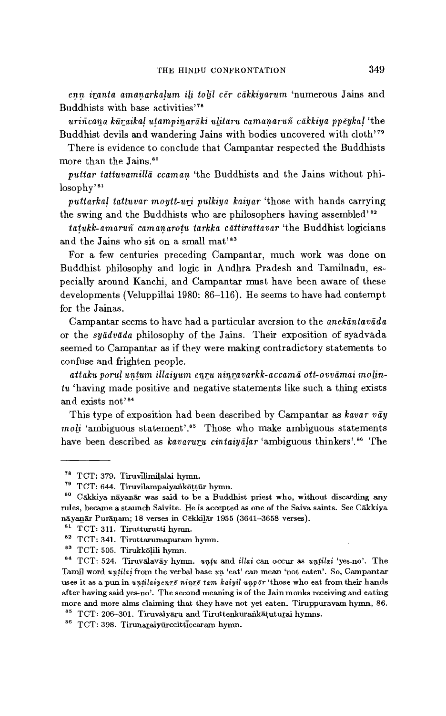*enn iranta amanarkalum ili tolil cer cakkiyarum* 'numerous Jains and Buddhists with base activities'"

*uriñcana kuraikal utampinaraki ulitaru camanaruñ cakkiya ppeykal* 'the Buddhist devils and wandering Jains with bodies uncovered with cloth'<sup>79</sup>

There is evidence to conclude that Campantar respected the Buddhists more than the Jains.<sup>80</sup>

*puttar tattuvamilla ccaman* 'the Buddhists and the Jains without philosophy'<sup>81</sup>

*puttarkal tattuvar moytt-uri pulkiya kaiyar* 'those with hands carrying the swing and the Buddhists who are philosophers having assembled'<sup>82</sup>

*tatukk-amaruñ camanarotu tarkka cattirattavar* 'the Buddhist logicians and the Jains who sit on a small mat'<sup>83</sup>

For a few centuries preceding Campantar, much work was done on Buddhist philosophy and logic in Andhra Pradesh and Tamilnadu, especially around Kanchi, and Campantar must have been aware of these developments (Veluppillai 1980: 86-116). He seems to have had contempt for the Jainas.

Campantar seems to have had a particular aversion to the *anekantavada*  or the *syadvada* philosophy of the Jains. Their exposition of syadvada seemed to Campantar as if they were making contradictory statements to confuse and frighten people.

*attaku porul untum illaiyum enru ninravarkk-accama ott-ovvamai molintu* 'having made positive and negative statements like such a thing exists and exists not'<sup>84</sup>

This type of exposition had been described by Campantar as kavar vay  $mol<sub>i</sub>$  'ambiguous statement'.<sup>85</sup> Those who make ambiguous statements have been described as *kavaruru cintaiyālar* 'ambiguous thinkers'.<sup>86</sup> The

<sup>&</sup>lt;sup>78</sup> TCT: 379. Tiruvilimilalai hymn.

<sup>&</sup>lt;sup>79</sup> TCT: 644. Tiruvilampaiyankōțțūr hymn.

 $80$  Cākkiya nāyanār was said to be a Buddhist priest who, without discarding any rules, became a staunch Saivite. He is accepted as one of the Saiva saints. See Cakkiya nayanar Puranam; 18 verses in Cekkilar 1955 (3641-3658 verses).

<sup>81</sup> TCT: 311. Tirutturutti hymn.

<sup>&</sup>lt;sup>82</sup> TCT: 341. Tiruttarumapuram hymn.

<sup>&</sup>lt;sup>83</sup> TCT: 505. Tirukkōļili hymn.

<sup>84</sup>TCT: 524. Tiruvalavay hymn. *untu* and *illai* can occur as *untilai* 'yes-no'. The Tamil word *untilai* from the verbal base un 'eat' can mean 'not eaten'. So, Campantar uses it as a pun in untilaiyenre ninre tam kaiyil unpor 'those who eat from their hands after having said yes-no'. The second meaning is of the Jain monks receiving and eating more and more alms claiming that they have not yet eaten. Tiruppuravam hymn, 86.

<sup>85</sup> TCT: 206-301. Tiruvaiyaru and Tiruttenkurankatuturai hymns.

<sup>86</sup> TCT: 398. Tirunaraiyūrccitticcaram hymn.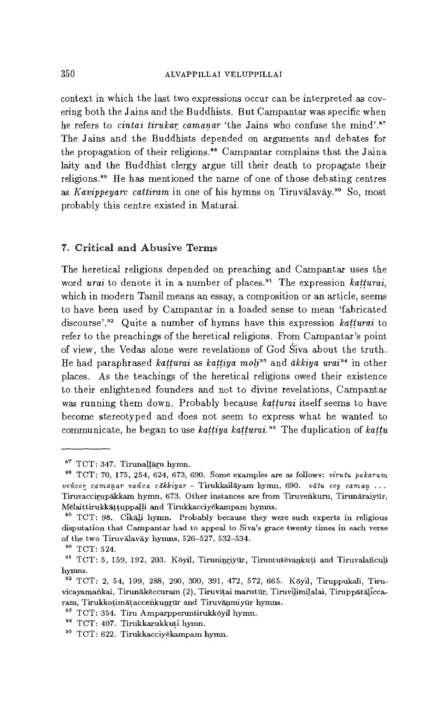context in which the last two expressions occur can be interpreted as covering both the Jains and the Buddhists. But Campantar was specific when he refers to *cintai tirukar camanar* 'the Jains who confuse the mind'.<sup>87</sup> The Jains and the Buddhists depended on arguments and debates for the propagation of their religions.<sup>88</sup> Campantar complains that the Jaina laity and the Buddhist clergy argue till their death to propagate their religions." He has mentioned the name of one of those debating centres as *Kavippeyarc cattiram* in one of his hymns on Tiruvalavay." So, most probably this centre existed in Maturai.

# 7. Critical and Abusive Terms

The heretical religions depended on preaching and Campantar uses the word *urai* to denote it in a number of places.<sup>91</sup> The expression *katturai*, which in modern Tamil means an essay, a composition or an article, seems to have been used by Campantar in a loaded sense to mean 'fabricated discourse'.<sup>92</sup> Quite a number of hymns have this expression *katturai* to refer to the preachings of the heretical religions. From Campantar's point of view, the Vedas alone were revelations of God Siva about the truth. He had paraphrased *katturai* as *kattiya moli93* and *akkiya urai"* in other places. As the teachings of the heretical religions owed their existence to their enlightened founders and not to divine revelations, Campantar was running them down. Probably because *katturai* itself seems to have become stereotyped and does not seem to express what he wanted to communicate, he began to use *kattiya katturai.95* The duplication of *kattu* 

<sup>&</sup>lt;sup>87</sup> TCT: 347. Tirunallaru hymn.

<sup>88</sup>TCT: 70, 175, 254, 624, 673, 690. Some examples are as follows: *virutu pakarum veñcor camanar vañca cakkiyar —* Tirukkailayam hymn, 690. *vatu cey caman . . .*  Tiruvaccirupakkam hymn, 673. Other instances are from Tiruvenkuru, Tirunaraiyur, Melaittirukkattuppalli and Tirukkacciyekampam hymns.

<sup>&</sup>lt;sup>69</sup> TCT: 98. Cikali hymn. Probably because they were such experts in religious disputation that Campantar had to appeal to Siva's grace twenty times in each verse of the two Tiruvalavay hymns, 526-527, 532-534.

 $^{90}$  TCT: 524.

<sup>&</sup>lt;sup>91</sup> TCT: 5, 159, 192, 203. Kōyil, Tiruninriyur, Tiruntutevankuti and Tiruvalañculi hymns.

<sup>92</sup>TCT: 2, 54, 199, 288, 290, 300, 391, 472, 572, 665. Koyil, Tiruppukali, Tiruvicayamankai, Tirunakeccuram (2), Tiruvitai marutur, Tiruvilimilalai, Tiruppataliccaram, Tirukkotimātaccenkunrūr and Tiruvānmiyūr hymns.

<sup>&</sup>lt;sup>93</sup> TCT: 354. Tiru Amparpperuntirukkōyil hymn.

<sup>&</sup>lt;sup>94</sup> TCT: 407. Tirukkarukkuți hymn.

<sup>&</sup>lt;sup>95</sup> TCT: 622. Tirukkacciyekampam hymn.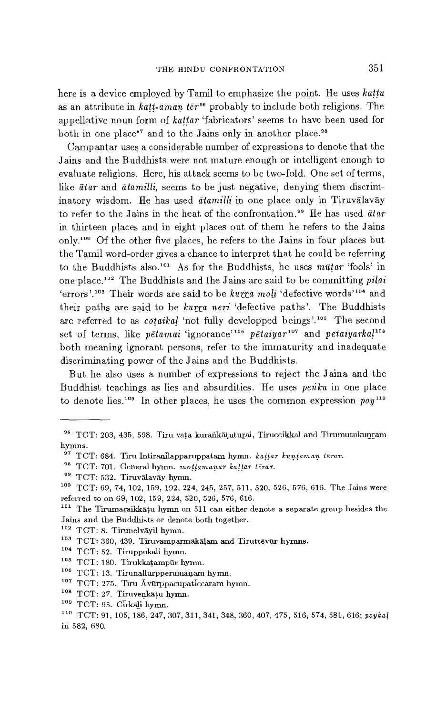here is a device employed by Tamil to emphasize the point. He uses *kattu*  as an attribute in *katt-aman ter*<sup>96</sup> probably to include both religions. The appellative noun form of *kattar* 'fabricators' seems to have been used for both in one place<sup>97</sup> and to the Jains only in another place.<sup>98</sup>

Campantar uses a considerable number of expressions to denote that the Jains and the Buddhists were not mature enough or intelligent enough to evaluate religions. Here, his attack seems to be two-fold. One set of terms, like *ātar* and *ātamilli*, seems to be just negative, denying them discriminatory wisdom. He has used *atamilli* in one place only in Tiruvalavay to refer to the Jains in the heat of the confrontation.<sup>99</sup> He has used *ātar* in thirteen places and in eight places out of them he refers to the Jains only.<sup>100</sup> Of the other five places, he refers to the Jains in four places but the Tamil word-order gives a chance to interpret that he could be referring to the Buddhists also.<sup>101</sup> As for the Buddhists, he uses  $m\bar{u}tar$  'fools' in one place.<sup>102</sup> The Buddhists and the Jains are said to be committing *pilai* 'errors'.<sup>103</sup> Their words are said to be *kurra moli* 'defective words'<sup>104</sup> and their paths are said to be *kurra neri* 'defective paths'. The Buddhists are referred to as *cotaikal* 'not fully developped beings'.105 The second set of terms, like *pētamai* 'ignorance'<sup>106</sup> pētaiyar<sup>107</sup> and *pētaiyarka*!<sup>108</sup> both meaning ignorant persons, refer to the immaturity and inadequate discriminating power of the Jains and the Buddhists.

But he also uses a number of expressions to reject the Jaina and the Buddhist teachings as lies and absurdities. He uses *penku* in one place to denote lies.<sup>109</sup> In other places, he uses the common expression  $poy^{110}$ 

- <sup>104</sup> TCT: 52. Tiruppukali hymn.
- $^{105}$  TCT: 180. Tirukkaṭampūr hymn.
- $106$  TCT: 13. Tirunallürpperumanam hymn.
- $107$  TCT: 275. Tiru Avurppacupaticcaram hymn.
- $108$  TCT: 27. Tiruvenkatu hymn.

<sup>&</sup>lt;sup>96</sup> TCT: 203, 435, 598. Tiru vata kurankātuturai, Tiruccikkal and Tirumutukunram hymns.

<sup>&</sup>lt;sup>97</sup> TCT: 684. Tiru Intiranilapparuppatam hymn. *kattar kuntaman tērar.* 

<sup>98</sup>TCT: 701. General hymn. *mottamanar kattar terar.* 

<sup>99</sup> TCT: 532. Tiruvālavāy hymn.

<sup>&</sup>lt;sup>100</sup> TCT: 69, 74, 102, 159, 192, 224, 245, 257, 511, 520, 526, 576, 616. The Jains were referred to on 69, 102, 159, 224, 520, 526, 576, 616.

<sup>&</sup>lt;sup>101</sup> The Tirumaraikkatu hymn on 511 can either denote a separate group besides the Jains and the Buddhists or denote both together.

 $102$  TCT: 8. Tirunelvayil hymn.

 $^{103}$  TCT: 360, 439. Tiruvamparmākāļam and Tiruttēvūr hymns.

 $109$  TCT: 95. Cirkali hymn.

<sup>&#</sup>x27;°0 TCT: 91, 105, 186, 247, 307, 311, 341, 348, 360, 407, 475, 516, 574, 581, 616; *poykal*  in 582, 680.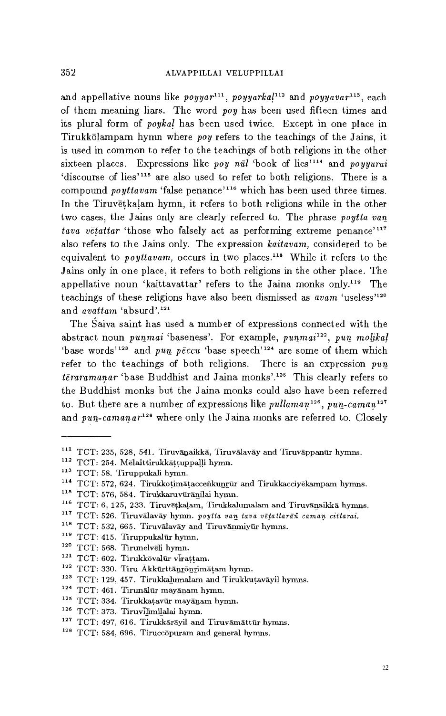and appellative nouns like *poyyar*<sup>111</sup>, *poyyarkal*<sup>112</sup> and *poyyavar*<sup>113</sup>, each of them meaning liars. The word *poy* has been used fifteen times and its plural form of *poykal* has been used twice. Except in one place in Tirukkolampam hymn where *poy* refers to the teachings of the Jains, it is used in common to refer to the teachings of both religions in the other sixteen places. Expressions like *poy nul* 'book of lies'<sup>114</sup> and *poyyurai* 'discourse of lies'<sup>115</sup> are also used to refer to both religions. There is a compound *poyttavam* 'false penance'<sup>116</sup> which has been used three times. In the Tiruvetkalam hymn, it refers to both religions while in the other two cases, the Jains only are clearly referred to. The phrase *poytta van tava vētattar* 'those who falsely act as performing extreme penance'<sup>117</sup> also refers to the Jains only. The expression *kaitavam,* considered to be equivalent to *poyttavam*, occurs in two places.<sup>118</sup> While it refers to the Jains only in one place, it refers to both religions in the other place. The appellative noun 'kaittavattar' refers to the Jaina monks only.<sup>119</sup> The teachings of these religions have also been dismissed as *avam* 'useless'<sup>120</sup> and *avattam* 'absurd'.<sup>121</sup>

The Saiva saint has used a number of expressions connected with the abstract noun *punmai* 'baseness'. For example, *punmai1<sup>22</sup> , pun molikal*  'base words'<sup>123</sup> and *pun peccu* 'base speech'<sup>124</sup> are some of them which refer to the teachings of both religions. There is an expression  $p u n$ *teraramanar* 'base Buddhist and Jaina monks'.<sup>125</sup> This clearly refers to the Buddhist monks but the Jaina monks could also have been referred to. But there are a number of expressions like *pullaman1<sup>26</sup> , pun-caman* <sup>127</sup> and *pun-camanar*<sup>128</sup> where only the Jaina monks are referred to. Closely

 $116$  TCT: 6, 125, 233. Tiruv $e$ tkalam, Tirukkalumalam and Tiruvanaikka hymns.

- <sup>119</sup> TCT: 415. Tiruppukalūr hymn.
- <sup>120</sup> TCT: 568. Tirunelveli hymn.

- <sup>122</sup> TCT: 330. Tiru Akkūrttānronrimatam hymn.
- $^{123}$  TCT: 129, 457. Tirukkalumalam and Tirukkuṭavāyil hymns.
- <sup>124</sup> TCT: 461. Tirunālūr mayānam hymn.
- $^{125}$  TCT: 334. Tirukkaṭavūr mayānam hymn.
- <sup>126</sup> TCT: 373. Tiruvilimilalai hymn.
- $127$  TCT: 497, 616. Tirukkārāyil and Tiruvāmāttūr hymns.
- <sup>128</sup> TCT: 584, 696. Tiruccopuram and general hymns.

 $111$  TCT: 235, 528, 541. Tiruvānaikkā, Tiruvālavāy and Tiruvāppanūr hymns.

 $112$  TCT: 254. Melaittirukkāṭṭuppaḷḷi hymn.

<sup>&</sup>lt;sup>113</sup> TCT: 58. Tiruppukali hymn.

 $114$  TCT: 572, 624. Tirukkotimāṭaccenkunrūr and Tirukkacciyēkampam hymns.

<sup>&</sup>lt;sup>115</sup> TCT: 576, 584. Tirukkaruvüränilai hymn.

<sup>117</sup>TCT: 526. Tiruvalavay hymn. *poytta van Java vetattarai caman cittarai.* 

<sup>&</sup>lt;sup>118</sup> TCT: 532, 665. Tiruvālavāy and Tiruvānmiyūr hymns.

 $121$  TCT: 602. Tirukkovalūr virațțam.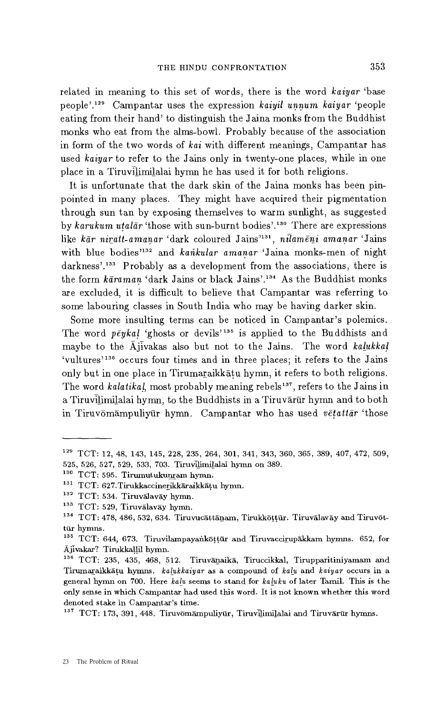related in meaning to this set of words, there is the word *kaiyar* 'base people'.129 Campantar uses the expression *kaiyil unnum kaiyar* 'people eating from their hand' to distinguish the Jaina monks from the Buddhist monks who eat from the alms-bowl. Probably because of the association in form of the two words of *kai* with different meanings, Campantar has used *kaiyar* to refer to the Jains only in twenty-one places, while in one place in a Tiruvilimilalai hymn he has used it for both religions.

It is unfortunate that the dark skin of the Jaina monks has been pinpointed in many places. They might have acquired their pigmentation through sun tan by exposing themselves to warm sunlight, as suggested by *karukum utalar* 'those with sun-burnt bodies'.1" There are expressions like kar *niratt-amanar* 'dark coloured Jains'131, *nilameni amanar* `Jains with blue bodies<sup>'132</sup> and *kankular amanar* 'Jaina monks-men of night darkness'.<sup>133</sup> Probably as a development from the associations, there is the form  $k\bar{a}$ raman 'dark Jains or black Jains'.<sup>134</sup> As the Buddhist monks are excluded, it is difficult to believe that Campantar was referring to some labouring classes in South India who may be having darker skin.

Some more insulting terms can be noticed in Campantar's polemics. The word  $p\bar{e}yka$  'ghosts or devils<sup>'135</sup> is applied to the Buddhists and maybe to the Ajivakas also but not to the Jains. The word kalukkal 'vultures'<sup>136</sup> occurs four times and in three places; it refers to the Jains only but in one place in Tirumaraikkatu hymn, it refers to both religions. The word *kalatikal*, most probably meaning rebels<sup>137</sup>, refers to the Jains in a Tiruvilimilalai hymn, to the Buddhists in a Tiruvārūr hymn and to both in Tiruvomampuliyur hymn. Campantar who has used *vetattar* 'those

<sup>129</sup>TCT: 12, 48, 143, 145, 228, 235, 264, 301, 341, 343, 360, 365, 389, 407, 472, 509, 525, 526, 527, 529, 533, 703. Tiruvilimilalai hymn on 389.

<sup>&</sup>lt;sup>130</sup> TCT: 595. Tirumutukunram hymn.

<sup>&</sup>lt;sup>131</sup> TCT: 627. Tirukkaccinerikkāraikkāțu hymn.

<sup>&</sup>lt;sup>132</sup> TCT: 534. Tiruvalavay hymn.

<sup>133</sup> TCT: 529, Tiruvalavay hymn.

 $134$  TCT: 478, 486, 532, 634. Tiruvucāttānam, Tirukkōțțūr. Tiruvālavāy and Tiruvōttür hymns.

<sup>&</sup>lt;sup>135</sup> TCT: 644, 673. Tiruvilampayankottur and Tiruvaccirupakkam hymns. 652, for Ajivakar? Tirukkallil hymn.

<sup>&</sup>lt;sup>136</sup> TCT: 235, 435, 468, 512. Tiruvānaikā, Tiruccikkal, Tirupparitiniyamam and Tirumaraikkatu hymns. *kalukkaiyar* as a compound of *kalu* and *kaiyar* occurs in a general hymn on 700. Here *kalu* seems to stand for *kaluku* of later Tamil. This is the only sense in which Campantar had used this word. It is not known whether this word denoted stake in Campantar's time.

 $137$  TCT: 173, 391, 448. Tiruvomampuliyur, Tiruvilimilalai and Tiruvarur hymns.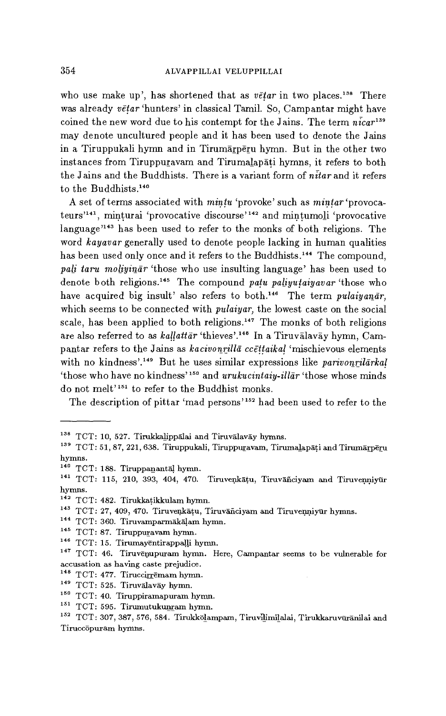who use make up', has shortened that as *vetar* in two places.<sup>138</sup> There was already *vetar* 'hunters' in classical Tamil. So, Campantar might have coined the new word due to his contempt for the Jains. The term  $\vec{n}$   $\vec{c}$   $ar^{139}$ may denote uncultured people and it has been used to denote the Jains in a Tiruppukali hymn and in Tirumarperu hymn. But in the other two instances from Tiruppuravam and Tirumalapati hymns, it refers to both the Jains and the Buddhists. There is a variant form of  $n\bar{t}$  are and it refers to the Buddhists.<sup>140</sup>

A set of terms associated with mintu 'provoke' such as *mintar* 'provocateurs<sup>'141</sup>, minturai 'provocative discourse'<sup>142</sup> and mintumoli 'provocative language'143 has been used to refer to the monks of both religions. The word *kayavar* generally used to denote people lacking in human qualities has been used only once and it refers to the Buddhists.<sup>144</sup> The compound, *pali taru moliyinar* 'those who use insulting language' has been used to denote both religions.<sup>145</sup> The compound *patu paliyutaiyavar* 'those who have acquired big insult' also refers to both.<sup>146</sup> The term *pulaiyanar*, which seems to be connected with *pulaiyar,* the lowest caste on the social scale, has been applied to both religions.<sup>147</sup> The monks of both religions are also referred to as *kallattar* 'thieves'.<sup>148</sup> In a Tiruvalavay hymn, Campantar refers to the Jains as *kacivonrilla ccettaikal* 'mischievous elements with no kindness'.<sup>149</sup> But he uses similar expressions like *parivonrilarkal* `those who have no kindness"' and *urukucintaiy-illar* 'those whose minds do not melt'151 to refer to the Buddhist monks.

The description of pittar 'mad persons'152 had been used to refer to the

- <sup>144</sup> TCT: 360. Tiruvamparmākāļam hymn.
- <sup>145</sup> TCT: 87. Tiruppuravam hymn.
- <sup>146</sup> TCT: 15. Tirumayentirappalli hymn.

- $148$  TCT: 477. Tiruccirremam hymn.
- <sup>149</sup> TCT: 525. Tiruvalavay hymn.
- <sup>150</sup> TCT: 40. Tiruppiramapuram hymn.
- $151$  TCT: 595. Tirumutukunram hymn.

<sup>&</sup>lt;sup>138</sup> TCT: 10, 527. Tirukkalippalai and Tiruvalavay hymns.

<sup>&</sup>lt;sup>139</sup> TCT: 51, 87, 221, 638. Tiruppukali, Tiruppuravam, Tirumalapāți and Tirumārpēru hymns.

 $140$  TCT: 188. Tiruppanantal hymn.

<sup>&</sup>lt;sup>141</sup> TCT: 115, 210, 393, 404, 470. Tiruvenkāțu, Tiruvāñciyam and Tiruvenniyūr hymns.

<sup>142</sup> TCT: 482. Tirukkatikkulam hymn.

<sup>&</sup>lt;sup>143</sup> TCT: 27, 409, 470. Tiruvenkatu, Tiruvanciyam and Tiruvenniyur hymns.

<sup>&</sup>lt;sup>147</sup> TCT: 46. Tiruvenupuram hymn. Here, Campantar seems to be vulnerable for accusation as having caste prejudice.

<sup>&</sup>lt;sup>152</sup> TCT: 307, 387, 576, 584. Tirukkōlampam, Tiruvllimilalai, Tirukkaruvūrānilai and Tiruccopuram hymns.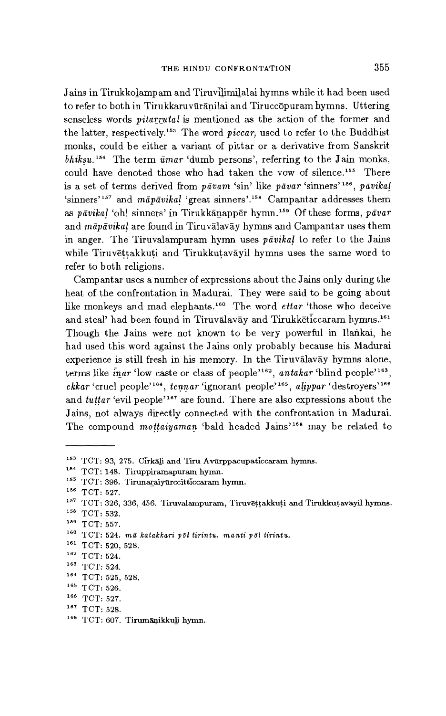Jains in Tirukkolampam and Tiruvilimilalai hymns while it had been used to refer to both in Tirukkaruvūrānilai and Tiruccopuram hymns. Uttering senseless words *pitarrutal* is mentioned as the action of the former and the latter, respectively.153 The word *piccar,* used to refer to the Buddhist monks, could be either a variant of pittar or a derivative from Sanskrit *bhiksu.154* The term *umar* 'dumb persons', referring to the Jain monks, could have denoted those who had taken the vow of silence.<sup>155</sup> There is a set of terms derived from *pavam* 'sin' like *pavar* 'sinners'<sup>156</sup>, *pavikal* `sinners' 157 and *mapavikal* 'great sinners' 158 Campantar addresses them as *pavikal* 'oh! sinners' in Tirukkanapper hymn.15' Of these forms, *pavar*  and *mapavikal* are found in Tiruvalavay hymns and Campantar uses them in anger. The Tiruvalampuram hymn uses *pavikal* to refer to the Jains while Tiruvettakkuti and Tirukkutavayil hymns uses the same word to refer to both religions.

Campantar uses a number of expressions about the Jains only during the heat of the confrontation in Madurai. They were said to be going about like monkeys and mad elephants.<sup>160</sup> The word *ettar* 'those who deceive and steal' had been found in Tiruvalavay and Tirukketiccaram hymns.<sup>161</sup> Though the Jains were not known to be very powerful in Ilankai, he had used this word against the Jains only probably because his Madurai experience is still fresh in his memory. In the Tiruvalavay hymns alone, terms like  $\bar{i}$ nar 'low caste or class of people'<sup>162</sup>, antakar 'blind people'<sup>163</sup>, *ekkar* 'cruel people'<sup>164</sup>, tennar 'ignorant people'<sup>165</sup>, alippar 'destroyers'<sup>166</sup> and *tuttar* 'evil people'<sup>167</sup> are found. There are also expressions about the Jains, not always directly connected with the confrontation in Madurai. The compound *mottaiyaman* 'bald headed Jains'168 may be related to

<sup>&</sup>lt;sup>153</sup> TCT: 93, 275. Cirkali and Tiru Avurppacupaticcaram hymns.

<sup>&</sup>lt;sup>154</sup> TCT: 148. Tiruppiramapuram hymn.

<sup>&</sup>lt;sup>155</sup> TCT: 396. Tirunaraiyurccitticcaram hymn.

 $156$  TCT: 527.

 $157$  TCT: 326, 336, 456. Tiruvalampuram, Tiruvēṭṭakkuṭi and Tirukkuṭavāyil hymns.

 $158$  TCT: 532.

 $159$  TCT: 557.

<sup>160</sup>TCT: 524. *ma katakkari poi tirintu. manti pol tirintu.* 

<sup>161</sup> TCT: 520, 528.

 $162$  TCT: 524.

 $163$  TCT: 524.

<sup>&</sup>lt;sup>164</sup> TCT: 525, 528.

 $165$  TCT: 526.

 $166$  TCT: 527.

 $167$  TCT: 528.

<sup>&</sup>lt;sup>168</sup> TCT: 607. Tirumāņikku<u>l</u>i hymn.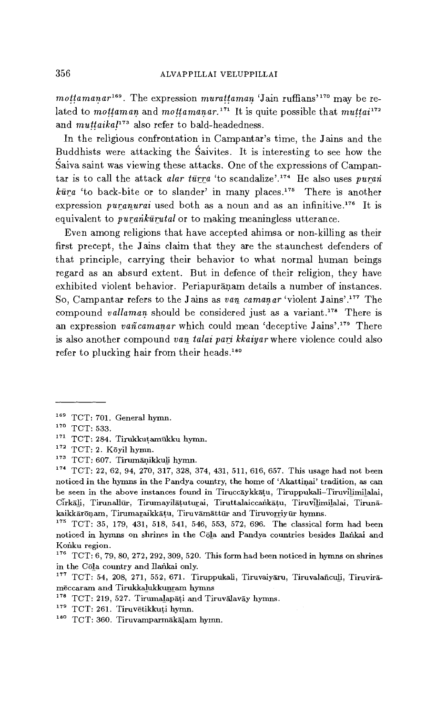*mottamanar*<sup>169</sup>. The expression *murattaman* 'Jain ruffians'<sup>170</sup> may be related to *mottaman* and *mottamanar*.<sup>171</sup> It is quite possible that *muttai*<sup>172</sup> and *muttaikal*<sup>173</sup> also refer to bald-headedness.

In the religious confrontation in Campantar's time, the Jains and the Buddhists were attacking the Saivites. It is interesting to see how the Saiva saint was viewing these attacks. One of the expressions of Campantar is to call the attack *alar tūrra* 'to scandalize'.<sup>174</sup> He also uses *puran*  $k\bar{u}$  <sup>t</sup>to back-bite or to slander' in many places.<sup>175</sup> There is another expression *puranurai* used both as a noun and as an infinitive.<sup>176</sup> It is equivalent to *purankūratal* or to making meaningless utterance.

Even among religions that have accepted ahimsa or non-killing as their first precept, the Jains claim that they are the staunchest defenders of that principle, carrying their behavior to what normal human beings regard as an absurd extent. But in defence of their religion, they have exhibited violent behavior. Periapuranam details a number of instances. So, Campantar refers to the Jains as van *camanar 'violent* Jains'.1" The compound *vallaman* should be considered just as a variant.<sup>178</sup> There is an expression *vañ camanar* which could mean 'deceptive Jains'.<sup>179</sup> There is also another compound van *talai pari kkaiyar* where violence could also refer to plucking hair from their heads.<sup>180</sup>

- <sup>179</sup> TCT: 261. Tiruvētikkuți hymn.
- <sup>180</sup> TCT: 360. Tiruvamparmākāļam hymn.

<sup>169</sup> TCT: 701. General hymn.

 $170$  TCT: 533.

 $171$  TCT: 284. Tirukkutamükku hymn.

 $172$  TCT: 2. Kōyil hymn.

<sup>&</sup>lt;sup>173</sup> TCT: 607. Tirumānikkuli hymn.

<sup>174</sup> TCT: 22, 62, 94, 270, 317, 328, 374, 431, 511, 616, 657. This usage had not been noticed in the hymns in the Pandya country, the home of `Akattinai' tradition, as can be seen in the above instances found in Tiruccaykkatu, Tiruppultali-Tiruvilimilalai, Cirkāli, Tirunallūr, Tirumayilāțuturai, Tiruttalaiccankāțu, Tiruvilimilalai, Tirunākaikkārōnam, Tirumaraikkātu, Tiruvāmāttūr and Tiruvorriyūr hymns.

<sup>&</sup>lt;sup>175</sup> TCT: 35, 179, 431, 518, 541, 546, 553, 572, 696. The classical form had been noticed in hymns on shrines in the Cola and Pandya countries besides Ilankai and Konku region.

 $176$  TCT: 6, 79, 80, 272, 292, 309, 520. This form had been noticed in hymns on shrines in the Cola country and Ilankai only.

 $177$  TCT: 54, 208, 271, 552, 671. Tiruppukali, Tiruvaiyāru, Tiruvalañculi, Tiruvirāmeccaram and Tirukkalukkunram hymns

 $178$  TCT: 219, 527. Tirumalapati and Tiruvalavay hymns.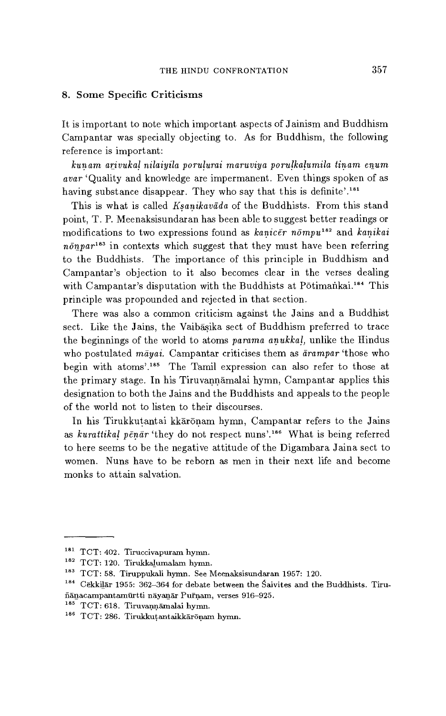# 8. Some Specific Criticisms

It is important to note which important aspects of Jainism and Buddhism Campantar was specially objecting to. As for Buddhism, the following reference is important:

*kunam arivukal nilaiyila porulurai* maruviya *porulkalumila tinam enum avar* 'Quality and knowledge are impermanent. Even things spoken of as having substance disappear. They who say that this is definite'.<sup>181</sup>

This is what is called *Ksanikavada* of the Buddhists. From this stand point, T. P. Meenaksisundaran has been able to suggest better readings or modifications to two expressions found as *kanicer nompu<sup>182</sup>* and *kanikai*  $n\bar{\phi}$ npar<sup>183</sup> in contexts which suggest that they must have been referring to the Buddhists. The importance of this principle in Buddhism and Campantar's objection to it also becomes clear in the verses dealing with Campantar's disputation with the Buddhists at Pōtimankai.<sup>184</sup> This principle was propounded and rejected in that section.

There was also a common criticism against the Jains and a Buddhist sect. Like the Jains, the Vaibasika sect of Buddhism preferred to trace the beginnings of the world to atoms *parama anukkal,* unlike the Hindus who postulated mayai. Campantar criticises them as  $\bar{a}$ rampar 'those who begin with atoms'.<sup>185</sup> The Tamil expression can also refer to those at the primary stage. In his Tiruvannamalai hymn, Campantar applies this designation to both the Jains and the Buddhists and appeals to the people of the world not to listen to their discourses.

In his Tirukkutantai kkaronam hymn, Campantar refers to the Jains as *kurattikal penar* 'they do not respect nuns'.186 What is being referred to here seems to be the negative attitude of the Digambara Jaina sect to women. Nuns have to be reborn as men in their next life and become monks to attain salvation.

<sup>181</sup> TCT: 402. Tiruccivapuram hymn.

 $182$  TCT: 120. Tirukkalumalam hymn.

<sup>&</sup>lt;sup>183</sup> TCT: 58. Tiruppukali hymn. See Meenaksisundaran 1957: 120.

<sup>184</sup> Cekkilar 1955: 362-364 for debate between the Saivites and the Buddhists. Tirufidnacampantamurtti nayanãr Putnam, verses 916-925.

<sup>&</sup>lt;sup>185</sup> TCT: 618. Tiruvannāmalai hymn.

<sup>&</sup>lt;sup>186</sup> TCT: 286. Tirukkutantaikkārōņam hymn.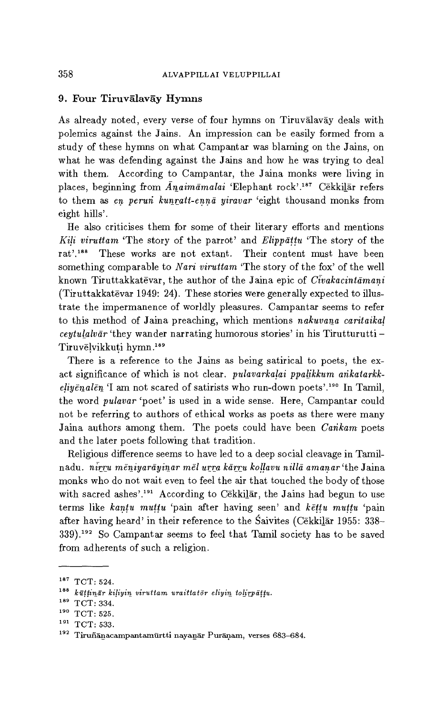# 9. Four Tiruvalavay Hymns

As already noted, every verse of four hymns on Tiruvalavay deals with polemics against the Jains. An impression can be easily formed from a study of these hymns on what Campantar was blaming on the Jains, on what he was defending against the Jains and how he was trying to deal with them. According to Campantar, the Jaina monks were living in places, beginning from *Anaimamalai 'Elephant* rock'.187 Cekkilar refers to them *as en perun kunratt-enna* yiravar 'eight thousand monks from eight hills'.

He also criticises them for some of their literary efforts and mentions *Kili viruttam* 'The story of the parrot' and *Elippattu* 'The story of the rat'.<sup>188</sup> These works are not extant. Their content must have been something comparable to *Nari viruttam* 'The story of the fox' of the well known Tiruttakkatevar, the author of the Jaina epic of *Civakacintamani*  (Tiruttakkatevar 1949: 24). These stories were generally expected to illustrate the impermanence of worldly pleasures. Campantar seems to refer to this method of Jaina preaching, which mentions *nakuvana caritaikal ceytulalvar* 'they wander narrating humorous stories' in his Tirutturutti — Tiruvelvikkuti hymn.<sup>189</sup>

There is a reference to the Jains as being satirical to poets, the exact significance of which is not clear. *pulavarkalai ppalikkum ankatarkkeliyenalen* 'I am not scared of satirists who run-down poets'.190 In Tamil, the word *pulavar* 'poet' is used in a wide sense. Here, Campantar could not be referring to authors of ethical works as poets as there were many Jaina authors among them. The poets could have been *Carikam-* poets and the later poets following that tradition.

Religious difference seems to have led to a deep social cleavage in Tamilnadu. nirru *meniyarayinar mel* urra *karru kollavu nilla amanar* 'the Jaina monks who do not wait even to feel the air that touched the body of those with sacred ashes'.<sup>191</sup> According to Cekkilar, the Jains had begun to use terms like *kantu muttu* 'pain after having seen' and *kettu muttu* 'pain after having heard' in their reference to the Saivites (Cekkilar 1955: 338–  $339$ .<sup>192</sup> So Campantar seems to feel that Tamil society has to be saved from adherents of such a religion.

 $187$  TCT: 524.

<sup>188</sup>*kuttinar kiliyin viruttam, uraittator eliyin tolirpattu.* 

<sup>&</sup>lt;sup>189</sup> TCT: 334.

 $190$  TCT: 525.

<sup>&</sup>lt;sup>191</sup> TCT: 533.

<sup>&</sup>lt;sup>192</sup> Tiruñānacampantamurtti nayanar Puranam, verses 683-684.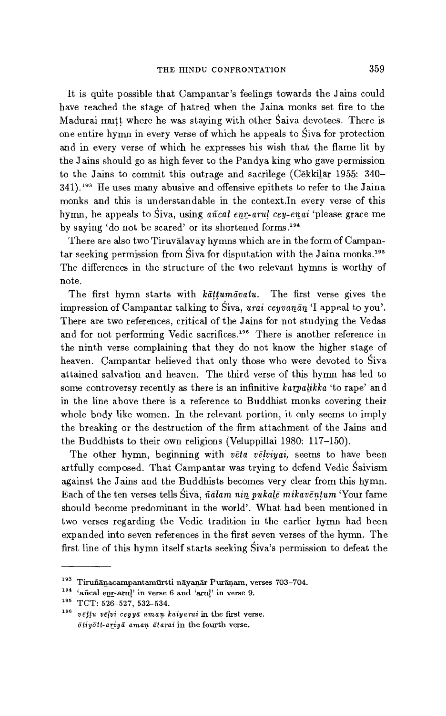It is quite possible that Campantar's feelings towards the Jains could have reached the stage of hatred when the Jaina monks set fire to the Madurai mutt where he was staying with other Saiva devotees. There is one entire hymn in every verse of which he appeals to Siva for protection and in every verse of which he expresses his wish that the flame lit by the Jains should go as high fever to the Pandya king who gave permission to the Jains to commit this outrage and sacrilege (Cekkilar 1955: 340-341).<sup>193</sup> He uses many abusive and offensive epithets to refer to the Jaina monks and this is understandable in the context.In every verse of this hymn, he appeals to Siva, using *añcal enr-arul cey-enai* 'please grace me by saying 'do not be scared' or its shortened forms.<sup>194</sup>

There are also two Tiruvalavay hymns which are in the form of Campantar seeking permission from Siva for disputation with the Jaina monks.<sup>195</sup> The differences in the structure of the two relevant hymns is worthy of note.

The first hymn starts with *kattumavatu*. The first verse gives the impression of Campantar talking to Siva, *urai ceyvanan 'I* appeal to you'. There are two references, critical of the Jains for not studying the Vedas and for not performing Vedic sacrifices.<sup>196</sup> There is another reference in the ninth verse complaining that they do not know the higher stage of heaven. Campantar believed that only those who were devoted to Siva attained salvation and heaven. The third verse of this hymn has led to some controversy recently as there is an infinitive *karpalikka* 'to rape' and in the line above there is a reference to Buddhist monks covering their whole body like women. In the relevant portion, it only seems to imply the breaking or the destruction of the firm attachment of the Jains and the Buddhists to their own religions (Veluppillai 1980: 117-150).

The other hymn, beginning with *veta velviyai,* seems to have been artfully composed. That Campantar was trying to defend Vedic Saivism against the Jains and the Buddhists becomes very clear from this hymn Each of the ten verses tells Siva, *ñalam* nin *pukale mikaventum* 'Your fame should become predominant in the world'. What had been mentioned in two verses regarding the Vedic tradition in the earlier hymn had been expanded into seven references in the first seven verses of the hymn. The first line of this hymn itself starts seeking Siva's permission to defeat the

 $193$  Tiruñānacampantamūrtti nāyanār Purāņam, verses 703-704.

<sup>194</sup>'añcal enr-arul' in verse 6 and *`arul'* in verse 9.

<sup>&</sup>lt;sup>195</sup> TCT: 526-527, 532-534.

<sup>&</sup>lt;sup>196</sup> vēttu vēlvi ceyyā amaņ kaiyarai in the first verse. *otiyott-ariya aman* atarai in the fourth verse.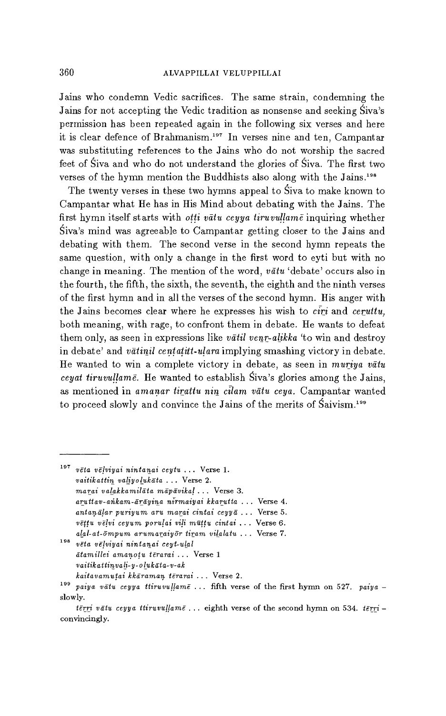Jains who condemn Vedic sacrifices. The same strain, condemning the Jains for not accepting the Vedic tradition as nonsense and seeking Siva's permission has been repeated again in the following six verses and here it is clear defence of Brahmanism.197 In verses nine and ten, Campantar was substituting references to the Jains who do not worship the sacred feet of Siva and who do not understand the glories of Siva. The first two verses of the hymn mention the Buddhists also along with the Jains.<sup>198</sup>

The twenty verses in these two hymns appeal to Siva to make known to Campantar what He has in His Mind about debating with the Jains. The first hymn itself starts with *otti vatu ceyya tiruvullame* inquiring whether Siva's mind was agreeable to Campantar getting closer to the Jains and debating with them. The second verse in the second hymn repeats the same question, with only a change in the first word to eyti but with no change in meaning. The mention of the word, *vittu* 'debate' occurs also in the fourth, the fifth, the sixth, the seventh, the eighth and the ninth verses of the first hymn and in all the verses of the second hymn. His anger with the Jains becomes clear where he expresses his wish to *crri* and *ceruttu,*  both meaning, with rage, to confront them in debate. He wants to defeat them only, as seen in expressions like *vatil venr-alikka* 'to win and destroy in debate' and *vatinil centatitt-ulara* implying smashing victory in debate. He wanted to win a complete victory in debate, as seen in *muriya vatu ceyat tiruvullame*. He wanted to establish Siva's glories among the Jains, as mentioned in *amanar tirattu nin cilam vātu ceya*. Campantar wanted to proceed slowly and convince the Jains of the merits of  $Saivism.<sup>199</sup>$ 

<sup>197</sup>*vela velviyai nintanai ceytu ...* Verse 1. *vaitikattin valiyolukata ...* Verse 2. *marai valakkamilata mapavikal ...* Verse 3. *anatav-añkam-arayina nirmaiyai kkanata ...* Verse 4. *antavailar puriyum ant marai cintai* ceyya . . . Verse 5. *vēttu vēlvi ceyum porulai vili mūttu cintai* ... Verse 6. *alal-at-ompum arumaraiyor tiram vilalatu ...* Verse 7. <sup>198</sup>*veta vqviyai nintanai ceyt-uial atamillei amanotv terarai ...* Verse 1 *vaitikattinvali-y- o Iuk ata-v-ak* 

*kaitavamiaai kkaraman terarai ...* Verse 2.

<sup>&</sup>lt;sup>199</sup> *paiya vatu ceyya ttiruvullame ...* fifth verse of the first hymn on 527. *paiya* slowly.

*terri veto ceyya ttiruvullame . ..* eighth verse of the second hymn on 534. *terri*  convincingly.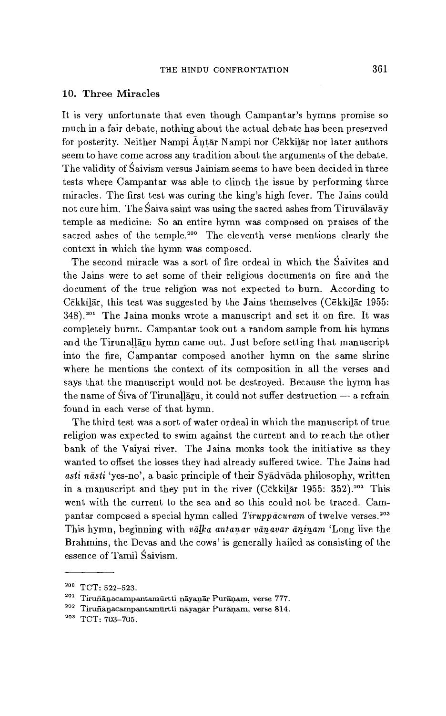## 10. Three Miracles

It is very unfortunate that even though Campantar's hymns promise so much in a fair debate, nothing about the actual debate has been preserved for posterity. Neither Nampi Antar Nampi nor Cekkilar nor later authors seem to have come across any tradition about the arguments of the debate. The validity of Saivism versus Jainism seems to have been decided in three tests where Campantar was able to clinch the issue by performing three miracles. The first test was curing the king's high fever. The Jains could not cure him. The Saiva saint was using the sacred ashes from Tiruvalavay temple as medicine: So an entire hymn was composed on praises of the sacred ashes of the temple.<sup>200</sup> The eleventh verse mentions clearly the context in which the hymn was composed.

The second miracle was a sort of fire ordeal in which the Saivites and the Jains were to set some of their religious documents on fire and the document of the true religion was not expected to burn. According to Cekkilar, this test was suggested by the Jains themselves (Cekkilar 1955: 348).<sup>201</sup> The Jaina monks wrote a manuscript and set it on fire. It was completely burnt. Campantar took out a random sample from his hymns and the Tirunallaru hymn came out. Just before setting that manuscript into the fire, Campantar composed another hymn on the same shrine where he mentions the context of its composition in all the verses and says that the manuscript would not be destroyed. Because the hymn has the name of Siva of Tirunallaru, it could not suffer destruction  $-$  a refrain found in each verse of that hymn.

The third test was a sort of water ordeal in which the manuscript of true religion was expected to swim against the current and to reach the other bank of the Vaiyai river. The Jaina monks took the initiative as they wanted to offset the losses they had already suffered twice. The Jains had asti nāsti 'yes-no', a basic principle of their Syadvada philosophy, written in a manuscript and they put in the river (Cekkilar 1955:  $352$ ).<sup>202</sup> This went with the current to the sea and so this could not be traced. Campantar composed a special hymn called *Tiruppācuram* of twelve verses.<sup>203</sup> This hymn, beginning with *valka antanar* vanavar *aninam* 'Long live the Brahmins, the Devas and the cows' is generally hailed as consisting of the essence of Tamil Saivism.

 $200$  TCT: 522-523.

 $201$  Tiruñānacampantamūrtti nāyanār Purāņam, verse 777.

<sup>202</sup> Tiruñanacampantamurtti nayanar Puranam, verse 814.

<sup>203</sup> TCT: 703-705.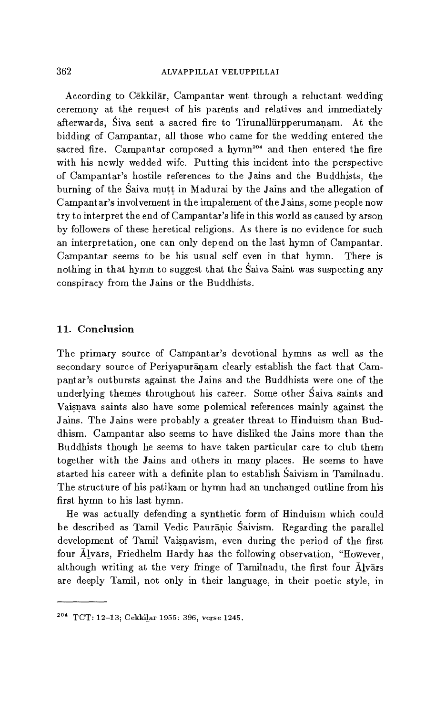## 362 ALVAPPILLAI VELUPPILLAI

According to Cekkilar, Campantar went through a reluctant wedding ceremony at the request of his parents and relatives and immediately afterwards, Siva sent a sacred fire to Tirunallarpperumanam. At the bidding of Campantar, all those who came for the wedding entered the sacred fire. Campantar composed a hymn<sup>204</sup> and then entered the fire with his newly wedded wife. Putting this incident into the perspective of Campantar's hostile references to the Jains and the Buddhists, the burning of the Saiva mutt in Madurai by the Jains and the allegation of Campantar's involvement in the impalement of the Jains, some people now try to interpret the end of Campantar's life in this world as caused by arson by followers of these heretical religions. As there is no evidence for such an interpretation, one can only depend on the last hymn of Campantar. Campantar seems to be his usual self even in that hymn. There is nothing in that hymn to suggest that the Saiva Saint was suspecting any conspiracy from the Jains or the Buddhists.

# 11. Conclusion

The primary source of Campantar's devotional hymns as well as the secondary source of Periyapuranam clearly establish the fact that Campantar's outbursts against the Jains and the Buddhists were one of the underlying themes throughout his career. Some other Saiva saints and Vaisnava saints also have some polemical references mainly against the Jains. The Jains were probably a greater threat to Hinduism than Buddhism. Campantar also seems to have disliked the Jains more than the Buddhists though he seems to have taken particular care to club them together with the Jains and others in many places. He seems to have started his career with a definite plan to establish Saivism in Tamilnadu. The structure of his patikam or hymn had an unchanged outline from his first hymn to his last hymn.

He was actually defending a synthetic form of Hinduism which could be described as Tamil Vedic Pauranic Saivism. Regarding the parallel development of Tamil Vaisnavism, even during the period of the first four Alvars, Friedhelm Hardy has the following observation, "However, although writing at the very fringe of Tamilnadu, the first four  $\bar{A}$ lvars are deeply Tamil, not only in their language, in their poetic style, in

<sup>&</sup>lt;sup>204</sup> TCT: 12-13; Cekkilar 1955: 396, verse 1245.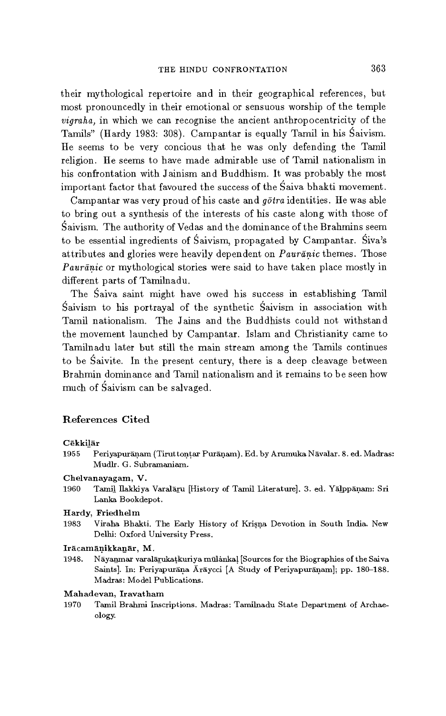their mythological repertoire and in their geographical references, but most pronouncedly in their emotional or sensuous worship of the temple *vigraha,* in which we can recognise the ancient anthropocentricity of the Tamils" (Hardy 1983: 308). Campantar is equally Tamil in his Saivism. He seems to be very concious that he was only defending the Tamil religion. He seems to have made admirable use of Tamil nationalism in his confrontation with Jainism and Buddhism. It was probably the most important factor that favoured the success of the Saiva bhakti movement.

Campantar was very proud of his caste and *gotra* identities. He was able to bring out a synthesis of the interests of his caste along with those of Saivism. The authority of Vedas and the dominance of the Brahmins seem to be essential ingredients of Śaivism, propagated by Campantar. Śiva's attributes and glories were heavily dependent on *Pauranic* themes. Those *Pauranic* or mythological stories were said to have taken place mostly in different parts of Tamilnadu.

The Saiva saint might have owed his success in establishing Tamil Saivism to his portrayal of the synthetic Saivism in association with Tamil nationalism. The Jains and the Buddhists could not withstand the movement launched by Campantar. Islam and Christianity came to Tamilnadu later but still the main stream among the Tamils continues to be Saivite. In the present century, there is a deep cleavage between Brahmin dominance and Tamil nationalism and it remains to be seen how much of Saivism can be salvaged.

# References Cited

#### Cēkkilār

1955 Periyapuranam (Tiruttontar Purariam). Ed. by Arumuka Navalar. 8. ed. Madras: Mudlr. G. Subramaniam.

#### Chelvanayagam, V.

1960 Tamil Ilakkiya Varalāru [History of Tamil Literature]. 3. ed. Yālppāṇam: Sri Lanka Bookdepot.

#### Hardy, Friedhelm

1983 Viraha Bhakti. The Early History of Krisna Devotion in South India. New Delhi: Oxford University Press.

## Iracamanikkanar, M.

1948. Nãyanmar varalarukatkuriya mulankal [Sources for the Biographies of the Saiva Saints]. In: Periyapurana Araycci [A Study of Periyapuranam]; pp. 180-188. Madras: Model Publications.

## Mahadevan, Iravat ham

1970 Tamil Brahmi Inscriptions. Madras: Tamilnadu State Department of Archaeology.